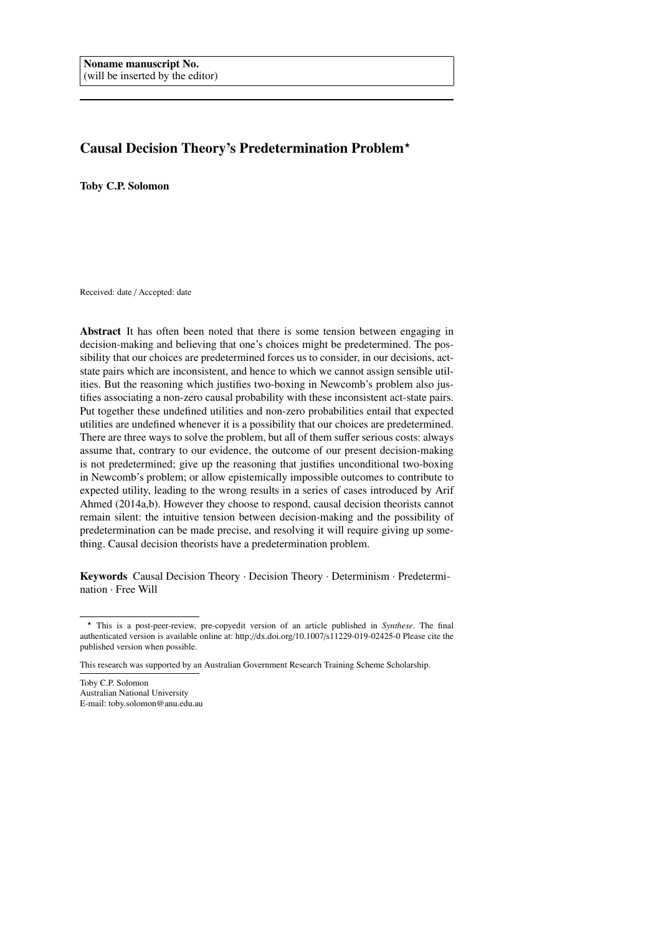# Causal Decision Theory's Predetermination Problem?

Toby C.P. Solomon

Received: date / Accepted: date

Abstract It has often been noted that there is some tension between engaging in decision-making and believing that one's choices might be predetermined. The possibility that our choices are predetermined forces us to consider, in our decisions, actstate pairs which are inconsistent, and hence to which we cannot assign sensible utilities. But the reasoning which justifies two-boxing in Newcomb's problem also justifies associating a non-zero causal probability with these inconsistent act-state pairs. Put together these undefined utilities and non-zero probabilities entail that expected utilities are undefined whenever it is a possibility that our choices are predetermined. There are three ways to solve the problem, but all of them suffer serious costs: always assume that, contrary to our evidence, the outcome of our present decision-making is not predetermined; give up the reasoning that justifies unconditional two-boxing in Newcomb's problem; or allow epistemically impossible outcomes to contribute to expected utility, leading to the wrong results in a series of cases introduced by Arif Ahmed (2014a,b). However they choose to respond, causal decision theorists cannot remain silent: the intuitive tension between decision-making and the possibility of predetermination can be made precise, and resolving it will require giving up something. Causal decision theorists have a predetermination problem.

Keywords Causal Decision Theory · Decision Theory · Determinism · Predetermination · Free Will

<sup>?</sup> This is a post-peer-review, pre-copyedit version of an article published in *Synthese*. The final authenticated version is available online at: http://dx.doi.org/10.1007/s11229-019-02425-0 Please cite the published version when possible.

This research was supported by an Australian Government Research Training Scheme Scholarship.

Toby C.P. Solomon Australian National University E-mail: toby.solomon@anu.edu.au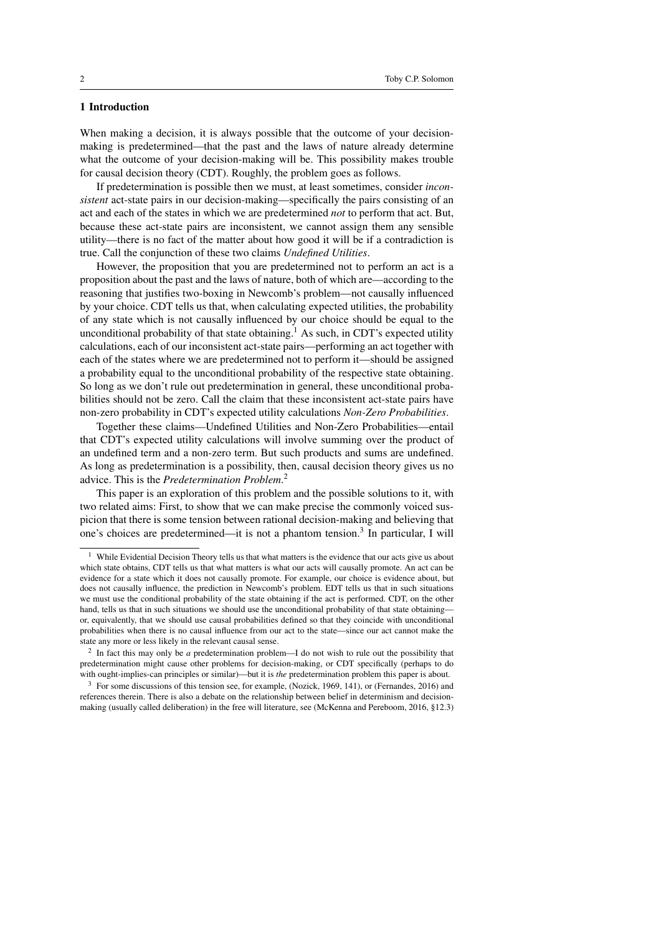# 1 Introduction

When making a decision, it is always possible that the outcome of your decisionmaking is predetermined—that the past and the laws of nature already determine what the outcome of your decision-making will be. This possibility makes trouble for causal decision theory (CDT). Roughly, the problem goes as follows.

If predetermination is possible then we must, at least sometimes, consider *inconsistent* act-state pairs in our decision-making—specifically the pairs consisting of an act and each of the states in which we are predetermined *not* to perform that act. But, because these act-state pairs are inconsistent, we cannot assign them any sensible utility—there is no fact of the matter about how good it will be if a contradiction is true. Call the conjunction of these two claims *Undefined Utilities*.

However, the proposition that you are predetermined not to perform an act is a proposition about the past and the laws of nature, both of which are—according to the reasoning that justifies two-boxing in Newcomb's problem—not causally influenced by your choice. CDT tells us that, when calculating expected utilities, the probability of any state which is not causally influenced by our choice should be equal to the unconditional probability of that state obtaining.<sup>1</sup> As such, in CDT's expected utility calculations, each of our inconsistent act-state pairs—performing an act together with each of the states where we are predetermined not to perform it—should be assigned a probability equal to the unconditional probability of the respective state obtaining. So long as we don't rule out predetermination in general, these unconditional probabilities should not be zero. Call the claim that these inconsistent act-state pairs have non-zero probability in CDT's expected utility calculations *Non-Zero Probabilities*.

Together these claims—Undefined Utilities and Non-Zero Probabilities—entail that CDT's expected utility calculations will involve summing over the product of an undefined term and a non-zero term. But such products and sums are undefined. As long as predetermination is a possibility, then, causal decision theory gives us no advice. This is the *Predetermination Problem*. 2

This paper is an exploration of this problem and the possible solutions to it, with two related aims: First, to show that we can make precise the commonly voiced suspicion that there is some tension between rational decision-making and believing that one's choices are predetermined—it is not a phantom tension.<sup>3</sup> In particular, I will

<sup>&</sup>lt;sup>1</sup> While Evidential Decision Theory tells us that what matters is the evidence that our acts give us about which state obtains, CDT tells us that what matters is what our acts will causally promote. An act can be evidence for a state which it does not causally promote. For example, our choice is evidence about, but does not causally influence, the prediction in Newcomb's problem. EDT tells us that in such situations we must use the conditional probability of the state obtaining if the act is performed. CDT, on the other hand, tells us that in such situations we should use the unconditional probability of that state obtainingor, equivalently, that we should use causal probabilities defined so that they coincide with unconditional probabilities when there is no causal influence from our act to the state—since our act cannot make the state any more or less likely in the relevant causal sense.

<sup>&</sup>lt;sup>2</sup> In fact this may only be *a* predetermination problem—I do not wish to rule out the possibility that predetermination might cause other problems for decision-making, or CDT specifically (perhaps to do with ought-implies-can principles or similar)—but it is *the* predetermination problem this paper is about.

<sup>3</sup> For some discussions of this tension see, for example, (Nozick, 1969, 141), or (Fernandes, 2016) and references therein. There is also a debate on the relationship between belief in determinism and decisionmaking (usually called deliberation) in the free will literature, see (McKenna and Pereboom, 2016, §12.3)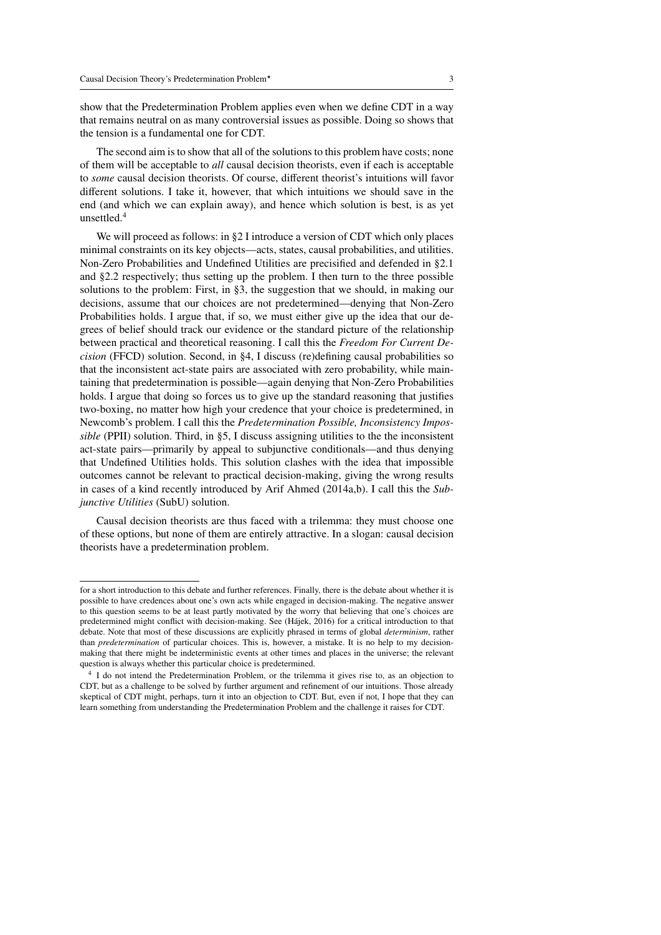show that the Predetermination Problem applies even when we define CDT in a way that remains neutral on as many controversial issues as possible. Doing so shows that the tension is a fundamental one for CDT.

The second aim is to show that all of the solutions to this problem have costs; none of them will be acceptable to *all* causal decision theorists, even if each is acceptable to *some* causal decision theorists. Of course, different theorist's intuitions will favor different solutions. I take it, however, that which intuitions we should save in the end (and which we can explain away), and hence which solution is best, is as yet unsettled.<sup>4</sup>

We will proceed as follows: in §2 I introduce a version of CDT which only places minimal constraints on its key objects—acts, states, causal probabilities, and utilities. Non-Zero Probabilities and Undefined Utilities are precisified and defended in §2.1 and §2.2 respectively; thus setting up the problem. I then turn to the three possible solutions to the problem: First, in §3, the suggestion that we should, in making our decisions, assume that our choices are not predetermined—denying that Non-Zero Probabilities holds. I argue that, if so, we must either give up the idea that our degrees of belief should track our evidence or the standard picture of the relationship between practical and theoretical reasoning. I call this the *Freedom For Current Decision* (FFCD) solution. Second, in §4, I discuss (re)defining causal probabilities so that the inconsistent act-state pairs are associated with zero probability, while maintaining that predetermination is possible—again denying that Non-Zero Probabilities holds. I argue that doing so forces us to give up the standard reasoning that justifies two-boxing, no matter how high your credence that your choice is predetermined, in Newcomb's problem. I call this the *Predetermination Possible, Inconsistency Impossible* (PPII) solution. Third, in §5, I discuss assigning utilities to the the inconsistent act-state pairs—primarily by appeal to subjunctive conditionals—and thus denying that Undefined Utilities holds. This solution clashes with the idea that impossible outcomes cannot be relevant to practical decision-making, giving the wrong results in cases of a kind recently introduced by Arif Ahmed (2014a,b). I call this the *Subjunctive Utilities* (SubU) solution.

Causal decision theorists are thus faced with a trilemma: they must choose one of these options, but none of them are entirely attractive. In a slogan: causal decision theorists have a predetermination problem.

for a short introduction to this debate and further references. Finally, there is the debate about whether it is possible to have credences about one's own acts while engaged in decision-making. The negative answer to this question seems to be at least partly motivated by the worry that believing that one's choices are predetermined might conflict with decision-making. See (Hajek, 2016) for a critical introduction to that ´ debate. Note that most of these discussions are explicitly phrased in terms of global *determinism*, rather than *predetermination* of particular choices. This is, however, a mistake. It is no help to my decisionmaking that there might be indeterministic events at other times and places in the universe; the relevant question is always whether this particular choice is predetermined.

<sup>&</sup>lt;sup>4</sup> I do not intend the Predetermination Problem, or the trilemma it gives rise to, as an objection to CDT, but as a challenge to be solved by further argument and refinement of our intuitions. Those already skeptical of CDT might, perhaps, turn it into an objection to CDT. But, even if not, I hope that they can learn something from understanding the Predetermination Problem and the challenge it raises for CDT.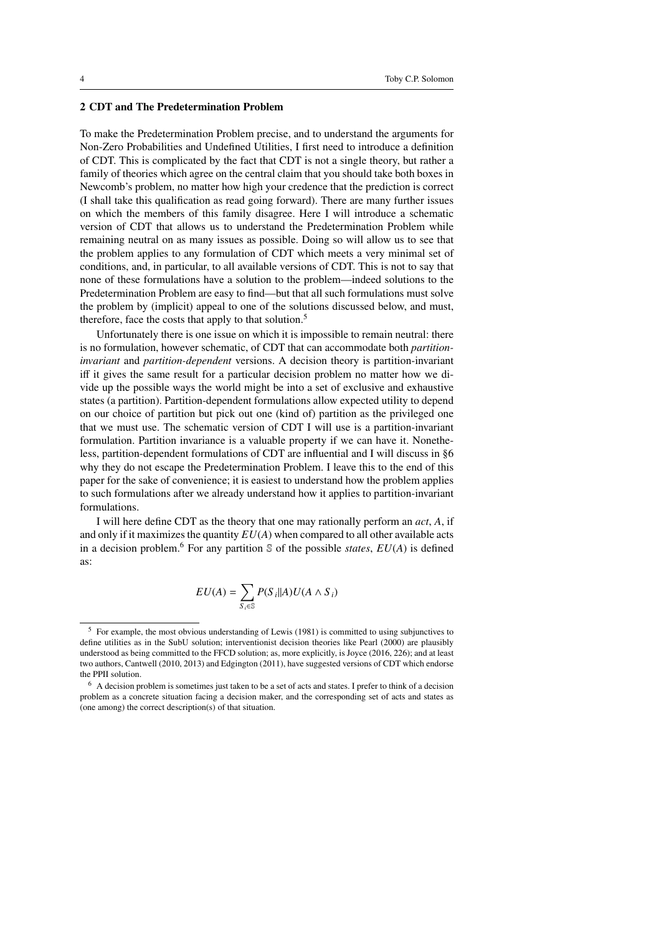# 2 CDT and The Predetermination Problem

To make the Predetermination Problem precise, and to understand the arguments for Non-Zero Probabilities and Undefined Utilities, I first need to introduce a definition of CDT. This is complicated by the fact that CDT is not a single theory, but rather a family of theories which agree on the central claim that you should take both boxes in Newcomb's problem, no matter how high your credence that the prediction is correct (I shall take this qualification as read going forward). There are many further issues on which the members of this family disagree. Here I will introduce a schematic version of CDT that allows us to understand the Predetermination Problem while remaining neutral on as many issues as possible. Doing so will allow us to see that the problem applies to any formulation of CDT which meets a very minimal set of conditions, and, in particular, to all available versions of CDT. This is not to say that none of these formulations have a solution to the problem—indeed solutions to the Predetermination Problem are easy to find—but that all such formulations must solve the problem by (implicit) appeal to one of the solutions discussed below, and must, therefore, face the costs that apply to that solution.<sup>5</sup>

Unfortunately there is one issue on which it is impossible to remain neutral: there is no formulation, however schematic, of CDT that can accommodate both *partitioninvariant* and *partition-dependent* versions. A decision theory is partition-invariant iff it gives the same result for a particular decision problem no matter how we divide up the possible ways the world might be into a set of exclusive and exhaustive states (a partition). Partition-dependent formulations allow expected utility to depend on our choice of partition but pick out one (kind of) partition as the privileged one that we must use. The schematic version of CDT I will use is a partition-invariant formulation. Partition invariance is a valuable property if we can have it. Nonetheless, partition-dependent formulations of CDT are influential and I will discuss in §6 why they do not escape the Predetermination Problem. I leave this to the end of this paper for the sake of convenience; it is easiest to understand how the problem applies to such formulations after we already understand how it applies to partition-invariant formulations.

I will here define CDT as the theory that one may rationally perform an *act*, *A*, if and only if it maximizes the quantity *EU*(*A*) when compared to all other available acts in a decision problem.<sup>6</sup> For any partition  $\mathcal S$  of the possible *states*,  $EU(A)$  is defined as:

$$
EU(A) = \sum_{S_i \in \mathbb{S}} P(S_i || A) U(A \wedge S_i)
$$

<sup>5</sup> For example, the most obvious understanding of Lewis (1981) is committed to using subjunctives to define utilities as in the SubU solution; interventionist decision theories like Pearl (2000) are plausibly understood as being committed to the FFCD solution; as, more explicitly, is Joyce (2016, 226); and at least two authors, Cantwell (2010, 2013) and Edgington (2011), have suggested versions of CDT which endorse the PPII solution.

<sup>6</sup> A decision problem is sometimes just taken to be a set of acts and states. I prefer to think of a decision problem as a concrete situation facing a decision maker, and the corresponding set of acts and states as (one among) the correct description(s) of that situation.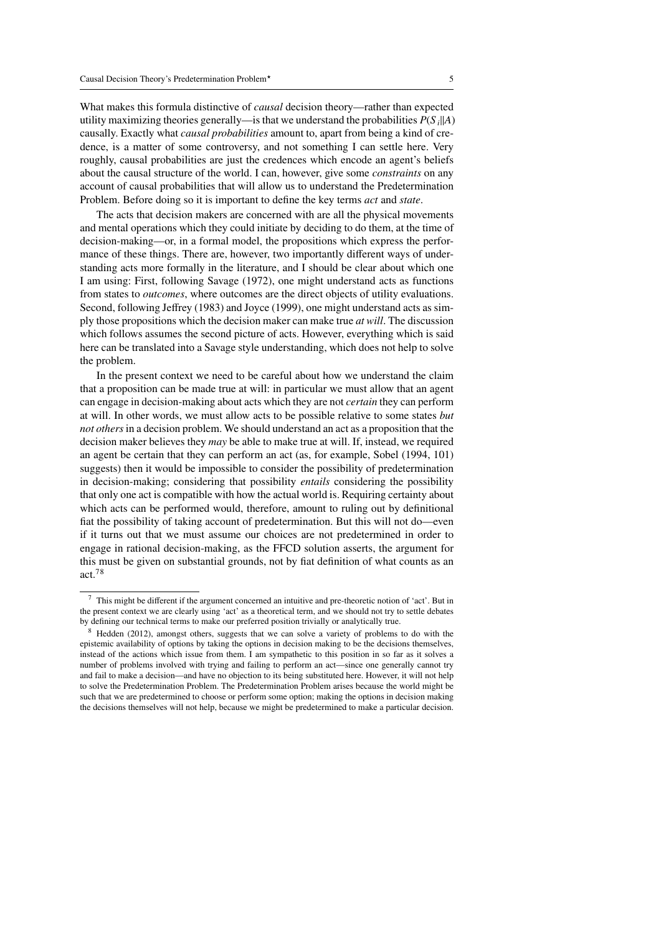What makes this formula distinctive of *causal* decision theory—rather than expected utility maximizing theories generally—is that we understand the probabilities *P*(*S <sup>i</sup>* ||*A*) causally. Exactly what *causal probabilities* amount to, apart from being a kind of credence, is a matter of some controversy, and not something I can settle here. Very roughly, causal probabilities are just the credences which encode an agent's beliefs about the causal structure of the world. I can, however, give some *constraints* on any account of causal probabilities that will allow us to understand the Predetermination Problem. Before doing so it is important to define the key terms *act* and *state*.

The acts that decision makers are concerned with are all the physical movements and mental operations which they could initiate by deciding to do them, at the time of decision-making—or, in a formal model, the propositions which express the performance of these things. There are, however, two importantly different ways of understanding acts more formally in the literature, and I should be clear about which one I am using: First, following Savage (1972), one might understand acts as functions from states to *outcomes*, where outcomes are the direct objects of utility evaluations. Second, following Jeffrey (1983) and Joyce (1999), one might understand acts as simply those propositions which the decision maker can make true *at will*. The discussion which follows assumes the second picture of acts. However, everything which is said here can be translated into a Savage style understanding, which does not help to solve the problem.

In the present context we need to be careful about how we understand the claim that a proposition can be made true at will: in particular we must allow that an agent can engage in decision-making about acts which they are not *certain* they can perform at will. In other words, we must allow acts to be possible relative to some states *but not others*in a decision problem. We should understand an act as a proposition that the decision maker believes they *may* be able to make true at will. If, instead, we required an agent be certain that they can perform an act (as, for example, Sobel (1994, 101) suggests) then it would be impossible to consider the possibility of predetermination in decision-making; considering that possibility *entails* considering the possibility that only one act is compatible with how the actual world is. Requiring certainty about which acts can be performed would, therefore, amount to ruling out by definitional fiat the possibility of taking account of predetermination. But this will not do—even if it turns out that we must assume our choices are not predetermined in order to engage in rational decision-making, as the FFCD solution asserts, the argument for this must be given on substantial grounds, not by fiat definition of what counts as an act.<sup>78</sup>

<sup>7</sup> This might be different if the argument concerned an intuitive and pre-theoretic notion of 'act'. But in the present context we are clearly using 'act' as a theoretical term, and we should not try to settle debates by defining our technical terms to make our preferred position trivially or analytically true.

<sup>8</sup> Hedden (2012), amongst others, suggests that we can solve a variety of problems to do with the epistemic availability of options by taking the options in decision making to be the decisions themselves, instead of the actions which issue from them. I am sympathetic to this position in so far as it solves a number of problems involved with trying and failing to perform an act—since one generally cannot try and fail to make a decision—and have no objection to its being substituted here. However, it will not help to solve the Predetermination Problem. The Predetermination Problem arises because the world might be such that we are predetermined to choose or perform some option; making the options in decision making the decisions themselves will not help, because we might be predetermined to make a particular decision.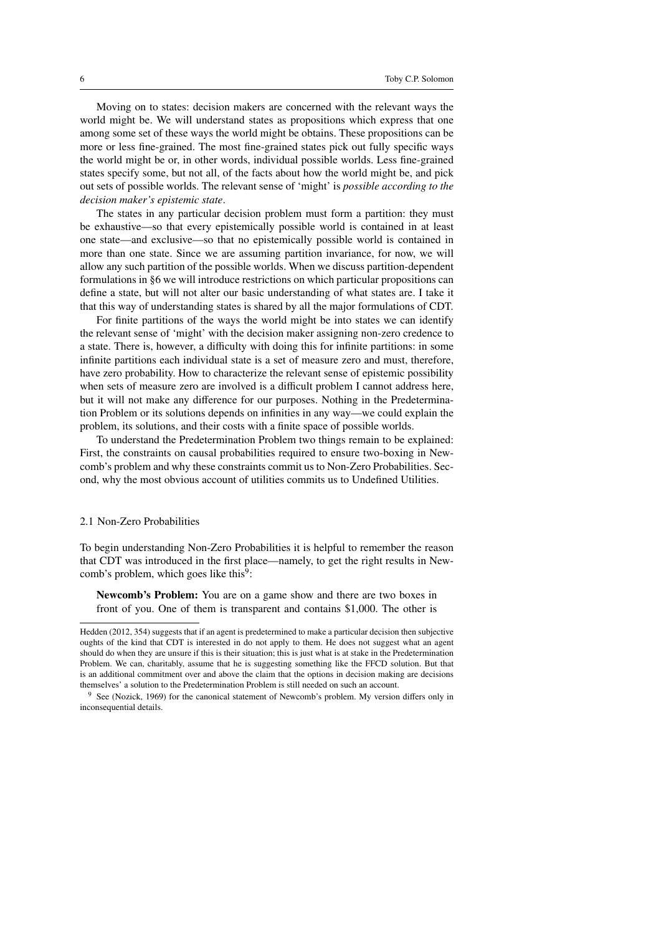Moving on to states: decision makers are concerned with the relevant ways the world might be. We will understand states as propositions which express that one among some set of these ways the world might be obtains. These propositions can be more or less fine-grained. The most fine-grained states pick out fully specific ways the world might be or, in other words, individual possible worlds. Less fine-grained states specify some, but not all, of the facts about how the world might be, and pick out sets of possible worlds. The relevant sense of 'might' is *possible according to the decision maker's epistemic state*.

The states in any particular decision problem must form a partition: they must be exhaustive—so that every epistemically possible world is contained in at least one state—and exclusive—so that no epistemically possible world is contained in more than one state. Since we are assuming partition invariance, for now, we will allow any such partition of the possible worlds. When we discuss partition-dependent formulations in §6 we will introduce restrictions on which particular propositions can define a state, but will not alter our basic understanding of what states are. I take it that this way of understanding states is shared by all the major formulations of CDT.

For finite partitions of the ways the world might be into states we can identify the relevant sense of 'might' with the decision maker assigning non-zero credence to a state. There is, however, a difficulty with doing this for infinite partitions: in some infinite partitions each individual state is a set of measure zero and must, therefore, have zero probability. How to characterize the relevant sense of epistemic possibility when sets of measure zero are involved is a difficult problem I cannot address here, but it will not make any difference for our purposes. Nothing in the Predetermination Problem or its solutions depends on infinities in any way—we could explain the problem, its solutions, and their costs with a finite space of possible worlds.

To understand the Predetermination Problem two things remain to be explained: First, the constraints on causal probabilities required to ensure two-boxing in Newcomb's problem and why these constraints commit us to Non-Zero Probabilities. Second, why the most obvious account of utilities commits us to Undefined Utilities.

#### 2.1 Non-Zero Probabilities

To begin understanding Non-Zero Probabilities it is helpful to remember the reason that CDT was introduced in the first place—namely, to get the right results in Newcomb's problem, which goes like this<sup>9</sup>:

Newcomb's Problem: You are on a game show and there are two boxes in front of you. One of them is transparent and contains \$1,000. The other is

Hedden (2012, 354) suggests that if an agent is predetermined to make a particular decision then subjective oughts of the kind that CDT is interested in do not apply to them. He does not suggest what an agent should do when they are unsure if this is their situation; this is just what is at stake in the Predetermination Problem. We can, charitably, assume that he is suggesting something like the FFCD solution. But that is an additional commitment over and above the claim that the options in decision making are decisions themselves' a solution to the Predetermination Problem is still needed on such an account.

<sup>&</sup>lt;sup>9</sup> See (Nozick, 1969) for the canonical statement of Newcomb's problem. My version differs only in inconsequential details.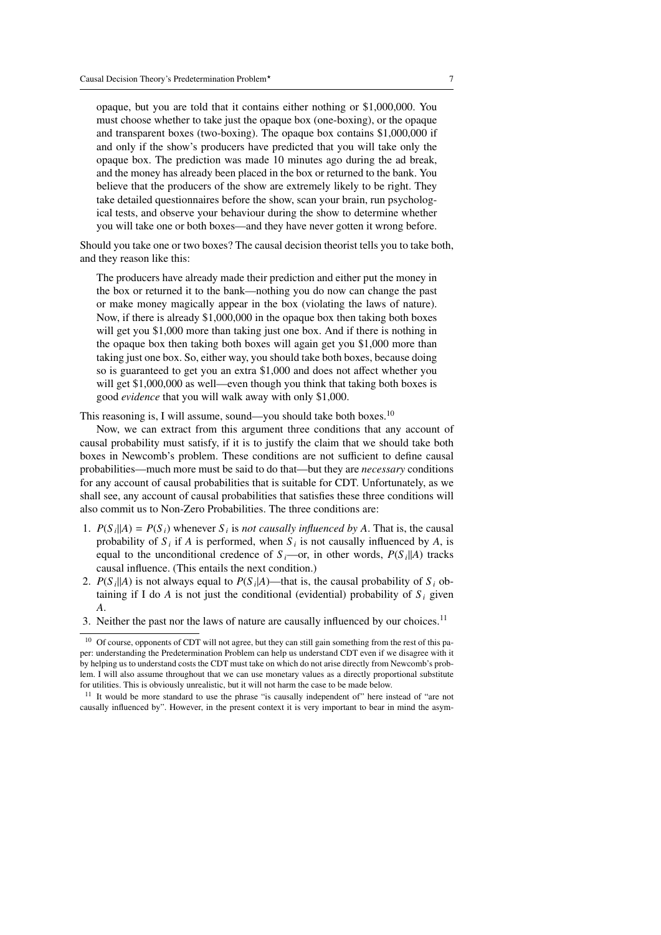opaque, but you are told that it contains either nothing or \$1,000,000. You must choose whether to take just the opaque box (one-boxing), or the opaque and transparent boxes (two-boxing). The opaque box contains \$1,000,000 if and only if the show's producers have predicted that you will take only the opaque box. The prediction was made 10 minutes ago during the ad break, and the money has already been placed in the box or returned to the bank. You believe that the producers of the show are extremely likely to be right. They take detailed questionnaires before the show, scan your brain, run psychological tests, and observe your behaviour during the show to determine whether you will take one or both boxes—and they have never gotten it wrong before.

Should you take one or two boxes? The causal decision theorist tells you to take both, and they reason like this:

The producers have already made their prediction and either put the money in the box or returned it to the bank—nothing you do now can change the past or make money magically appear in the box (violating the laws of nature). Now, if there is already \$1,000,000 in the opaque box then taking both boxes will get you \$1,000 more than taking just one box. And if there is nothing in the opaque box then taking both boxes will again get you \$1,000 more than taking just one box. So, either way, you should take both boxes, because doing so is guaranteed to get you an extra \$1,000 and does not affect whether you will get \$1,000,000 as well—even though you think that taking both boxes is good *evidence* that you will walk away with only \$1,000.

This reasoning is, I will assume, sound—you should take both boxes.<sup>10</sup>

Now, we can extract from this argument three conditions that any account of causal probability must satisfy, if it is to justify the claim that we should take both boxes in Newcomb's problem. These conditions are not sufficient to define causal probabilities—much more must be said to do that—but they are *necessary* conditions for any account of causal probabilities that is suitable for CDT. Unfortunately, as we shall see, any account of causal probabilities that satisfies these three conditions will also commit us to Non-Zero Probabilities. The three conditions are:

- 1.  $P(S_i||A) = P(S_i)$  whenever  $S_i$  is *not causally influenced by A*. That is, the causal probability of  $S_i$  if *A* is performed, when  $S_i$  is not causally influenced by *A*, is equal to the unconditional credence of  $S_i$ —or, in other words,  $P(S_i||A)$  tracks causal influence. (This entails the next condition.)
- 2.  $P(S_i||A)$  is not always equal to  $P(S_i|A)$ —that is, the causal probability of  $S_i$  obtaining if I do *A* is not just the conditional (evidential) probability of  $S_i$  given *A*.

<sup>3.</sup> Neither the past nor the laws of nature are causally influenced by our choices.<sup>11</sup>

<sup>&</sup>lt;sup>10</sup> Of course, opponents of CDT will not agree, but they can still gain something from the rest of this paper: understanding the Predetermination Problem can help us understand CDT even if we disagree with it by helping us to understand costs the CDT must take on which do not arise directly from Newcomb's problem. I will also assume throughout that we can use monetary values as a directly proportional substitute for utilities. This is obviously unrealistic, but it will not harm the case to be made below.

<sup>&</sup>lt;sup>11</sup> It would be more standard to use the phrase "is causally independent of" here instead of "are not causally influenced by". However, in the present context it is very important to bear in mind the asym-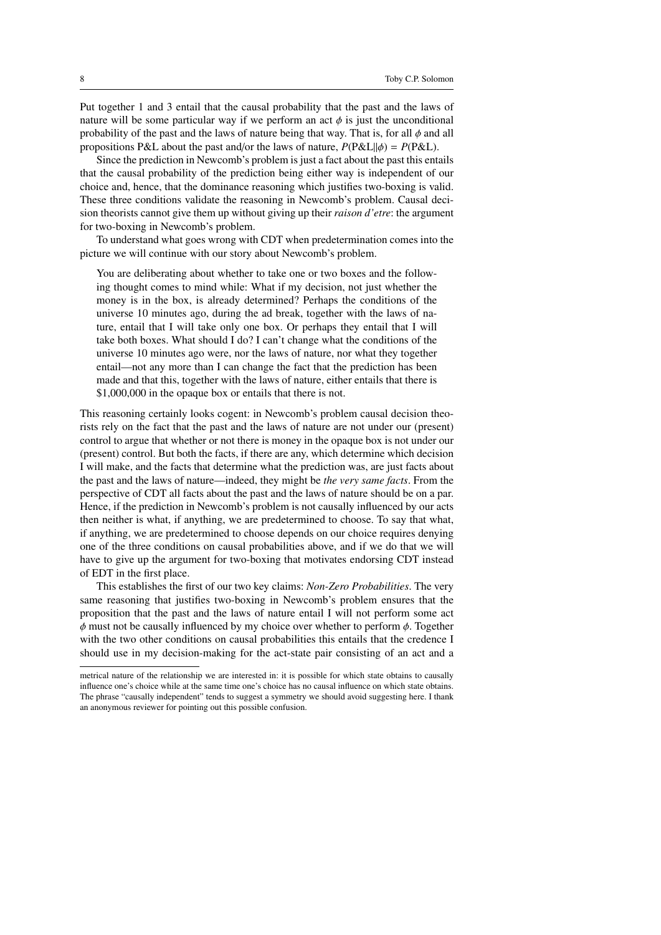Put together 1 and 3 entail that the causal probability that the past and the laws of nature will be some particular way if we perform an act  $\phi$  is just the unconditional probability of the past and the laws of nature being that way. That is, for all  $\phi$  and all propositions P&L about the past and/or the laws of nature,  $P(P\&L||\phi) = P(P\&L)$ .

Since the prediction in Newcomb's problem is just a fact about the past this entails that the causal probability of the prediction being either way is independent of our choice and, hence, that the dominance reasoning which justifies two-boxing is valid. These three conditions validate the reasoning in Newcomb's problem. Causal decision theorists cannot give them up without giving up their *raison d'etre*: the argument for two-boxing in Newcomb's problem.

To understand what goes wrong with CDT when predetermination comes into the picture we will continue with our story about Newcomb's problem.

You are deliberating about whether to take one or two boxes and the following thought comes to mind while: What if my decision, not just whether the money is in the box, is already determined? Perhaps the conditions of the universe 10 minutes ago, during the ad break, together with the laws of nature, entail that I will take only one box. Or perhaps they entail that I will take both boxes. What should I do? I can't change what the conditions of the universe 10 minutes ago were, nor the laws of nature, nor what they together entail—not any more than I can change the fact that the prediction has been made and that this, together with the laws of nature, either entails that there is \$1,000,000 in the opaque box or entails that there is not.

This reasoning certainly looks cogent: in Newcomb's problem causal decision theorists rely on the fact that the past and the laws of nature are not under our (present) control to argue that whether or not there is money in the opaque box is not under our (present) control. But both the facts, if there are any, which determine which decision I will make, and the facts that determine what the prediction was, are just facts about the past and the laws of nature—indeed, they might be *the very same facts*. From the perspective of CDT all facts about the past and the laws of nature should be on a par. Hence, if the prediction in Newcomb's problem is not causally influenced by our acts then neither is what, if anything, we are predetermined to choose. To say that what, if anything, we are predetermined to choose depends on our choice requires denying one of the three conditions on causal probabilities above, and if we do that we will have to give up the argument for two-boxing that motivates endorsing CDT instead of EDT in the first place.

This establishes the first of our two key claims: *Non-Zero Probabilities*. The very same reasoning that justifies two-boxing in Newcomb's problem ensures that the proposition that the past and the laws of nature entail I will not perform some act  $\phi$  must not be causally influenced by my choice over whether to perform  $\phi$ . Together with the two other conditions on causal probabilities this entails that the credence I should use in my decision-making for the act-state pair consisting of an act and a

metrical nature of the relationship we are interested in: it is possible for which state obtains to causally influence one's choice while at the same time one's choice has no causal influence on which state obtains. The phrase "causally independent" tends to suggest a symmetry we should avoid suggesting here. I thank an anonymous reviewer for pointing out this possible confusion.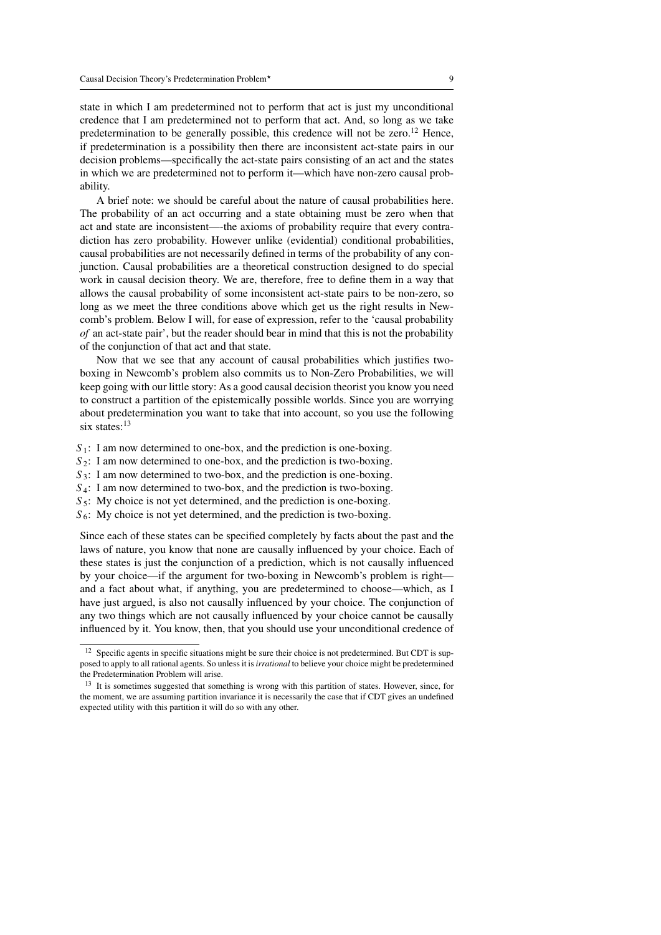state in which I am predetermined not to perform that act is just my unconditional credence that I am predetermined not to perform that act. And, so long as we take predetermination to be generally possible, this credence will not be zero.<sup>12</sup> Hence, if predetermination is a possibility then there are inconsistent act-state pairs in our decision problems—specifically the act-state pairs consisting of an act and the states in which we are predetermined not to perform it—which have non-zero causal probability.

A brief note: we should be careful about the nature of causal probabilities here. The probability of an act occurring and a state obtaining must be zero when that act and state are inconsistent—-the axioms of probability require that every contradiction has zero probability. However unlike (evidential) conditional probabilities, causal probabilities are not necessarily defined in terms of the probability of any conjunction. Causal probabilities are a theoretical construction designed to do special work in causal decision theory. We are, therefore, free to define them in a way that allows the causal probability of some inconsistent act-state pairs to be non-zero, so long as we meet the three conditions above which get us the right results in Newcomb's problem. Below I will, for ease of expression, refer to the 'causal probability *of* an act-state pair', but the reader should bear in mind that this is not the probability of the conjunction of that act and that state.

Now that we see that any account of causal probabilities which justifies twoboxing in Newcomb's problem also commits us to Non-Zero Probabilities, we will keep going with our little story: As a good causal decision theorist you know you need to construct a partition of the epistemically possible worlds. Since you are worrying about predetermination you want to take that into account, so you use the following six states:<sup>13</sup>

- *S*<sub>1</sub>: I am now determined to one-box, and the prediction is one-boxing.
- *S*<sub>2</sub>: I am now determined to one-box, and the prediction is two-boxing.
- *S* <sup>3</sup>: I am now determined to two-box, and the prediction is one-boxing.
- *S* <sup>4</sup>: I am now determined to two-box, and the prediction is two-boxing.
- $S_5$ : My choice is not yet determined, and the prediction is one-boxing.
- *S*<sub>6</sub>: My choice is not yet determined, and the prediction is two-boxing.

Since each of these states can be specified completely by facts about the past and the laws of nature, you know that none are causally influenced by your choice. Each of these states is just the conjunction of a prediction, which is not causally influenced by your choice—if the argument for two-boxing in Newcomb's problem is right and a fact about what, if anything, you are predetermined to choose—which, as I have just argued, is also not causally influenced by your choice. The conjunction of any two things which are not causally influenced by your choice cannot be causally influenced by it. You know, then, that you should use your unconditional credence of

<sup>&</sup>lt;sup>12</sup> Specific agents in specific situations might be sure their choice is not predetermined. But CDT is supposed to apply to all rational agents. So unless it is *irrational* to believe your choice might be predetermined the Predetermination Problem will arise.

<sup>&</sup>lt;sup>13</sup> It is sometimes suggested that something is wrong with this partition of states. However, since, for the moment, we are assuming partition invariance it is necessarily the case that if CDT gives an undefined expected utility with this partition it will do so with any other.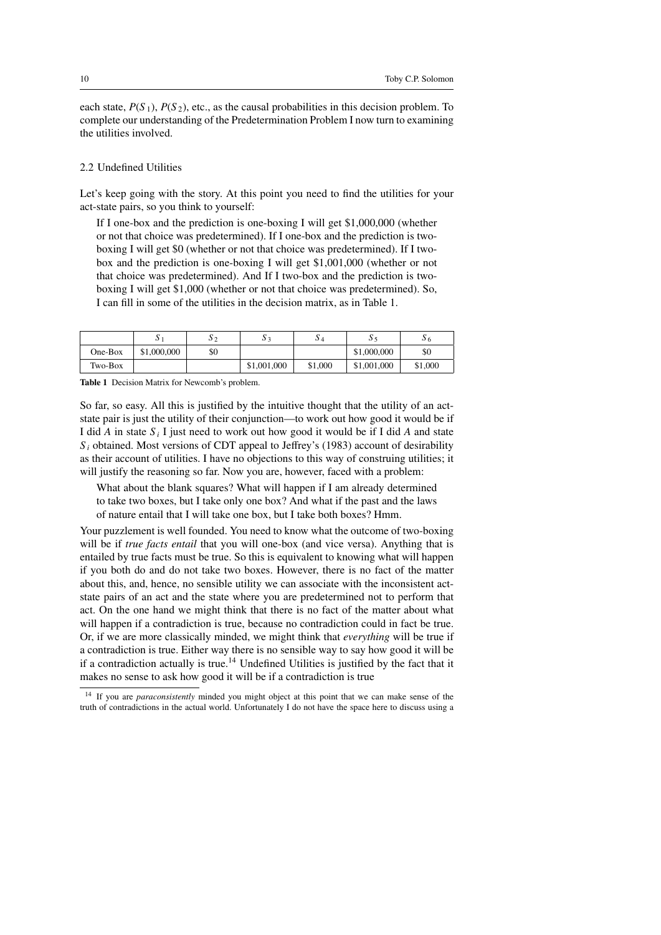each state,  $P(S_1)$ ,  $P(S_2)$ , etc., as the causal probabilities in this decision problem. To complete our understanding of the Predetermination Problem I now turn to examining the utilities involved.

### 2.2 Undefined Utilities

Let's keep going with the story. At this point you need to find the utilities for your act-state pairs, so you think to yourself:

If I one-box and the prediction is one-boxing I will get \$1,000,000 (whether or not that choice was predetermined). If I one-box and the prediction is twoboxing I will get \$0 (whether or not that choice was predetermined). If I twobox and the prediction is one-boxing I will get \$1,001,000 (whether or not that choice was predetermined). And If I two-box and the prediction is twoboxing I will get \$1,000 (whether or not that choice was predetermined). So, I can fill in some of the utilities in the decision matrix, as in Table 1.

|         | ມ           | ∼ د⊾ | ാ≙          | Ω Δ     | د،          | ს 6     |
|---------|-------------|------|-------------|---------|-------------|---------|
| One-Box | \$1,000,000 | \$0  |             |         | \$1,000,000 | \$0     |
| Two-Box |             |      | \$1,001,000 | \$1,000 | \$1,001,000 | \$1,000 |

Table 1 Decision Matrix for Newcomb's problem.

So far, so easy. All this is justified by the intuitive thought that the utility of an actstate pair is just the utility of their conjunction—to work out how good it would be if I did *A* in state  $S_i$  I just need to work out how good it would be if I did *A* and state *S <sup>i</sup>* obtained. Most versions of CDT appeal to Jeffrey's (1983) account of desirability as their account of utilities. I have no objections to this way of construing utilities; it will justify the reasoning so far. Now you are, however, faced with a problem:

What about the blank squares? What will happen if I am already determined to take two boxes, but I take only one box? And what if the past and the laws of nature entail that I will take one box, but I take both boxes? Hmm.

Your puzzlement is well founded. You need to know what the outcome of two-boxing will be if *true facts entail* that you will one-box (and vice versa). Anything that is entailed by true facts must be true. So this is equivalent to knowing what will happen if you both do and do not take two boxes. However, there is no fact of the matter about this, and, hence, no sensible utility we can associate with the inconsistent actstate pairs of an act and the state where you are predetermined not to perform that act. On the one hand we might think that there is no fact of the matter about what will happen if a contradiction is true, because no contradiction could in fact be true. Or, if we are more classically minded, we might think that *everything* will be true if a contradiction is true. Either way there is no sensible way to say how good it will be if a contradiction actually is true.<sup>14</sup> Undefined Utilities is justified by the fact that it makes no sense to ask how good it will be if a contradiction is true

<sup>14</sup> If you are *paraconsistently* minded you might object at this point that we can make sense of the truth of contradictions in the actual world. Unfortunately I do not have the space here to discuss using a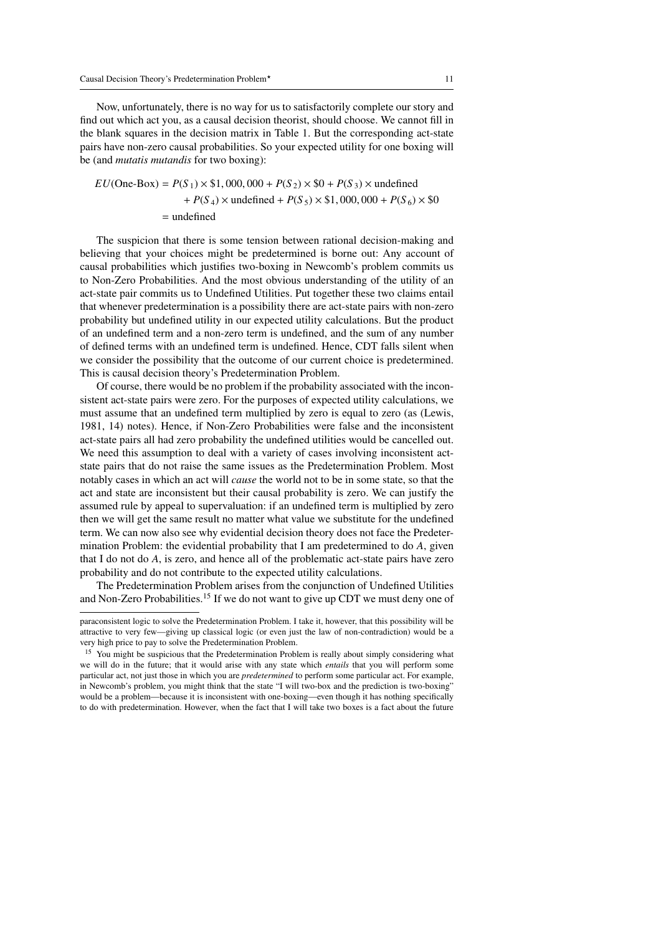Now, unfortunately, there is no way for us to satisfactorily complete our story and find out which act you, as a causal decision theorist, should choose. We cannot fill in the blank squares in the decision matrix in Table 1. But the corresponding act-state pairs have non-zero causal probabilities. So your expected utility for one boxing will be (and *mutatis mutandis* for two boxing):

$$
EU(\text{One-Box}) = P(S_1) \times \$1,000,000 + P(S_2) \times \$0 + P(S_3) \times \text{undefined} + P(S_4) \times \text{undefined} + P(S_5) \times \$1,000,000 + P(S_6) \times \$0
$$
  
= undefined

The suspicion that there is some tension between rational decision-making and believing that your choices might be predetermined is borne out: Any account of causal probabilities which justifies two-boxing in Newcomb's problem commits us to Non-Zero Probabilities. And the most obvious understanding of the utility of an act-state pair commits us to Undefined Utilities. Put together these two claims entail that whenever predetermination is a possibility there are act-state pairs with non-zero probability but undefined utility in our expected utility calculations. But the product of an undefined term and a non-zero term is undefined, and the sum of any number of defined terms with an undefined term is undefined. Hence, CDT falls silent when we consider the possibility that the outcome of our current choice is predetermined. This is causal decision theory's Predetermination Problem.

Of course, there would be no problem if the probability associated with the inconsistent act-state pairs were zero. For the purposes of expected utility calculations, we must assume that an undefined term multiplied by zero is equal to zero (as (Lewis, 1981, 14) notes). Hence, if Non-Zero Probabilities were false and the inconsistent act-state pairs all had zero probability the undefined utilities would be cancelled out. We need this assumption to deal with a variety of cases involving inconsistent actstate pairs that do not raise the same issues as the Predetermination Problem. Most notably cases in which an act will *cause* the world not to be in some state, so that the act and state are inconsistent but their causal probability is zero. We can justify the assumed rule by appeal to supervaluation: if an undefined term is multiplied by zero then we will get the same result no matter what value we substitute for the undefined term. We can now also see why evidential decision theory does not face the Predetermination Problem: the evidential probability that I am predetermined to do *A*, given that I do not do *A*, is zero, and hence all of the problematic act-state pairs have zero probability and do not contribute to the expected utility calculations.

The Predetermination Problem arises from the conjunction of Undefined Utilities and Non-Zero Probabilities.<sup>15</sup> If we do not want to give up CDT we must deny one of

paraconsistent logic to solve the Predetermination Problem. I take it, however, that this possibility will be attractive to very few—giving up classical logic (or even just the law of non-contradiction) would be a very high price to pay to solve the Predetermination Problem.

<sup>&</sup>lt;sup>15</sup> You might be suspicious that the Predetermination Problem is really about simply considering what we will do in the future; that it would arise with any state which *entails* that you will perform some particular act, not just those in which you are *predetermined* to perform some particular act. For example, in Newcomb's problem, you might think that the state "I will two-box and the prediction is two-boxing" would be a problem—because it is inconsistent with one-boxing—even though it has nothing specifically to do with predetermination. However, when the fact that I will take two boxes is a fact about the future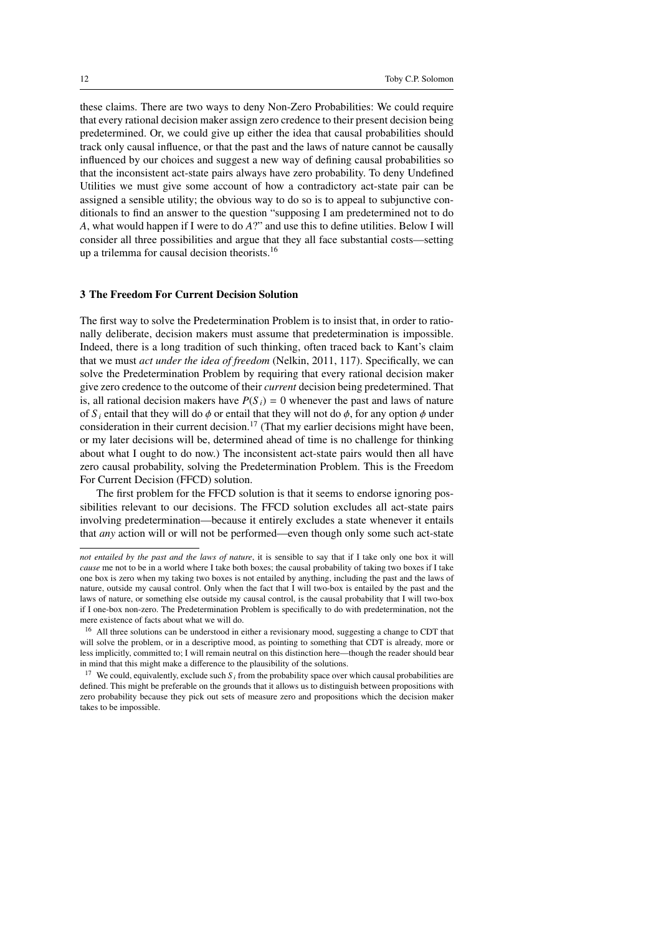these claims. There are two ways to deny Non-Zero Probabilities: We could require that every rational decision maker assign zero credence to their present decision being predetermined. Or, we could give up either the idea that causal probabilities should track only causal influence, or that the past and the laws of nature cannot be causally influenced by our choices and suggest a new way of defining causal probabilities so that the inconsistent act-state pairs always have zero probability. To deny Undefined Utilities we must give some account of how a contradictory act-state pair can be assigned a sensible utility; the obvious way to do so is to appeal to subjunctive conditionals to find an answer to the question "supposing I am predetermined not to do *A*, what would happen if I were to do *A*?" and use this to define utilities. Below I will consider all three possibilities and argue that they all face substantial costs—setting up a trilemma for causal decision theorists.<sup>16</sup>

#### 3 The Freedom For Current Decision Solution

The first way to solve the Predetermination Problem is to insist that, in order to rationally deliberate, decision makers must assume that predetermination is impossible. Indeed, there is a long tradition of such thinking, often traced back to Kant's claim that we must *act under the idea of freedom* (Nelkin, 2011, 117). Specifically, we can solve the Predetermination Problem by requiring that every rational decision maker give zero credence to the outcome of their *current* decision being predetermined. That is, all rational decision makers have  $P(S_i) = 0$  whenever the past and laws of nature of  $S_i$  entail that they will do  $\phi$  or entail that they will not do  $\phi$ , for any option  $\phi$  under consideration in their current decision.<sup>17</sup> (That my earlier decisions might have been, or my later decisions will be, determined ahead of time is no challenge for thinking about what I ought to do now.) The inconsistent act-state pairs would then all have zero causal probability, solving the Predetermination Problem. This is the Freedom For Current Decision (FFCD) solution.

The first problem for the FFCD solution is that it seems to endorse ignoring possibilities relevant to our decisions. The FFCD solution excludes all act-state pairs involving predetermination—because it entirely excludes a state whenever it entails that *any* action will or will not be performed—even though only some such act-state

*not entailed by the past and the laws of nature*, it is sensible to say that if I take only one box it will *cause* me not to be in a world where I take both boxes; the causal probability of taking two boxes if I take one box is zero when my taking two boxes is not entailed by anything, including the past and the laws of nature, outside my causal control. Only when the fact that I will two-box is entailed by the past and the laws of nature, or something else outside my causal control, is the causal probability that I will two-box if I one-box non-zero. The Predetermination Problem is specifically to do with predetermination, not the mere existence of facts about what we will do.

<sup>16</sup> All three solutions can be understood in either a revisionary mood, suggesting a change to CDT that will solve the problem, or in a descriptive mood, as pointing to something that CDT is already, more or less implicitly, committed to; I will remain neutral on this distinction here—though the reader should bear in mind that this might make a difference to the plausibility of the solutions.

<sup>&</sup>lt;sup>17</sup> We could, equivalently, exclude such  $S_i$  from the probability space over which causal probabilities are defined. This might be preferable on the grounds that it allows us to distinguish between propositions with zero probability because they pick out sets of measure zero and propositions which the decision maker takes to be impossible.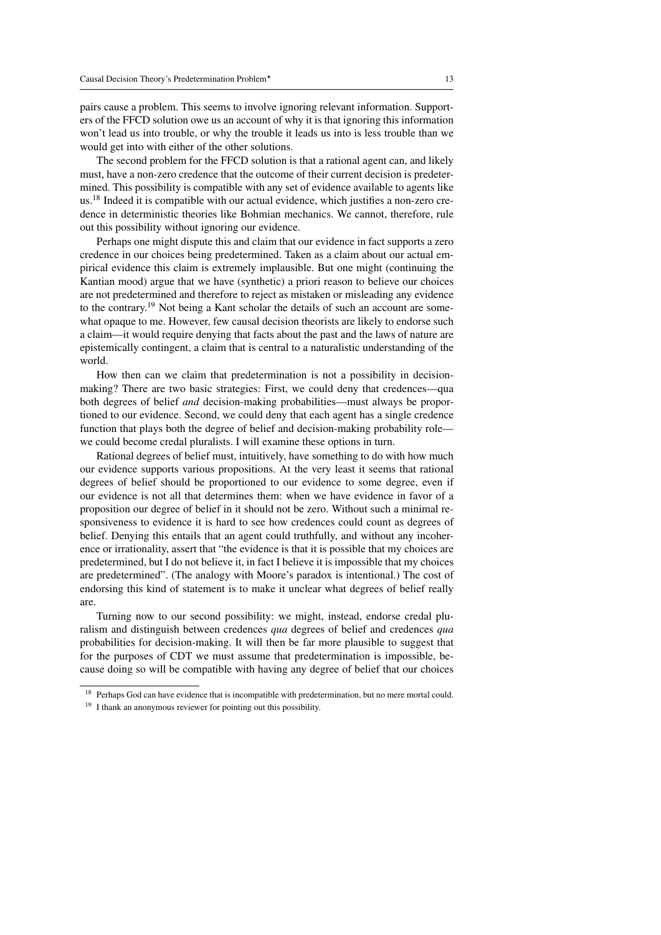pairs cause a problem. This seems to involve ignoring relevant information. Supporters of the FFCD solution owe us an account of why it is that ignoring this information won't lead us into trouble, or why the trouble it leads us into is less trouble than we would get into with either of the other solutions.

The second problem for the FFCD solution is that a rational agent can, and likely must, have a non-zero credence that the outcome of their current decision is predetermined. This possibility is compatible with any set of evidence available to agents like us.<sup>18</sup> Indeed it is compatible with our actual evidence, which justifies a non-zero credence in deterministic theories like Bohmian mechanics. We cannot, therefore, rule out this possibility without ignoring our evidence.

Perhaps one might dispute this and claim that our evidence in fact supports a zero credence in our choices being predetermined. Taken as a claim about our actual empirical evidence this claim is extremely implausible. But one might (continuing the Kantian mood) argue that we have (synthetic) a priori reason to believe our choices are not predetermined and therefore to reject as mistaken or misleading any evidence to the contrary.<sup>19</sup> Not being a Kant scholar the details of such an account are somewhat opaque to me. However, few causal decision theorists are likely to endorse such a claim—it would require denying that facts about the past and the laws of nature are epistemically contingent, a claim that is central to a naturalistic understanding of the world.

How then can we claim that predetermination is not a possibility in decisionmaking? There are two basic strategies: First, we could deny that credences—qua both degrees of belief *and* decision-making probabilities—must always be proportioned to our evidence. Second, we could deny that each agent has a single credence function that plays both the degree of belief and decision-making probability role we could become credal pluralists. I will examine these options in turn.

Rational degrees of belief must, intuitively, have something to do with how much our evidence supports various propositions. At the very least it seems that rational degrees of belief should be proportioned to our evidence to some degree, even if our evidence is not all that determines them: when we have evidence in favor of a proposition our degree of belief in it should not be zero. Without such a minimal responsiveness to evidence it is hard to see how credences could count as degrees of belief. Denying this entails that an agent could truthfully, and without any incoherence or irrationality, assert that "the evidence is that it is possible that my choices are predetermined, but I do not believe it, in fact I believe it is impossible that my choices are predetermined". (The analogy with Moore's paradox is intentional.) The cost of endorsing this kind of statement is to make it unclear what degrees of belief really are.

Turning now to our second possibility: we might, instead, endorse credal pluralism and distinguish between credences *qua* degrees of belief and credences *qua* probabilities for decision-making. It will then be far more plausible to suggest that for the purposes of CDT we must assume that predetermination is impossible, because doing so will be compatible with having any degree of belief that our choices

<sup>&</sup>lt;sup>18</sup> Perhaps God can have evidence that is incompatible with predetermination, but no mere mortal could.

<sup>&</sup>lt;sup>19</sup> I thank an anonymous reviewer for pointing out this possibility.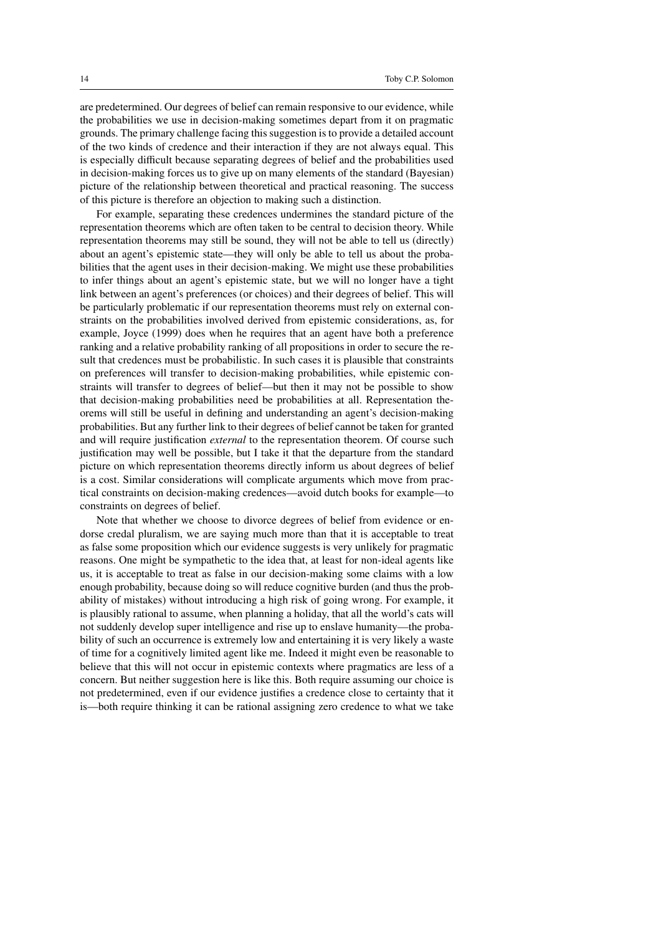are predetermined. Our degrees of belief can remain responsive to our evidence, while the probabilities we use in decision-making sometimes depart from it on pragmatic grounds. The primary challenge facing this suggestion is to provide a detailed account of the two kinds of credence and their interaction if they are not always equal. This is especially difficult because separating degrees of belief and the probabilities used in decision-making forces us to give up on many elements of the standard (Bayesian) picture of the relationship between theoretical and practical reasoning. The success of this picture is therefore an objection to making such a distinction.

For example, separating these credences undermines the standard picture of the representation theorems which are often taken to be central to decision theory. While representation theorems may still be sound, they will not be able to tell us (directly) about an agent's epistemic state—they will only be able to tell us about the probabilities that the agent uses in their decision-making. We might use these probabilities to infer things about an agent's epistemic state, but we will no longer have a tight link between an agent's preferences (or choices) and their degrees of belief. This will be particularly problematic if our representation theorems must rely on external constraints on the probabilities involved derived from epistemic considerations, as, for example, Joyce (1999) does when he requires that an agent have both a preference ranking and a relative probability ranking of all propositions in order to secure the result that credences must be probabilistic. In such cases it is plausible that constraints on preferences will transfer to decision-making probabilities, while epistemic constraints will transfer to degrees of belief—but then it may not be possible to show that decision-making probabilities need be probabilities at all. Representation theorems will still be useful in defining and understanding an agent's decision-making probabilities. But any further link to their degrees of belief cannot be taken for granted and will require justification *external* to the representation theorem. Of course such justification may well be possible, but I take it that the departure from the standard picture on which representation theorems directly inform us about degrees of belief is a cost. Similar considerations will complicate arguments which move from practical constraints on decision-making credences—avoid dutch books for example—to constraints on degrees of belief.

Note that whether we choose to divorce degrees of belief from evidence or endorse credal pluralism, we are saying much more than that it is acceptable to treat as false some proposition which our evidence suggests is very unlikely for pragmatic reasons. One might be sympathetic to the idea that, at least for non-ideal agents like us, it is acceptable to treat as false in our decision-making some claims with a low enough probability, because doing so will reduce cognitive burden (and thus the probability of mistakes) without introducing a high risk of going wrong. For example, it is plausibly rational to assume, when planning a holiday, that all the world's cats will not suddenly develop super intelligence and rise up to enslave humanity—the probability of such an occurrence is extremely low and entertaining it is very likely a waste of time for a cognitively limited agent like me. Indeed it might even be reasonable to believe that this will not occur in epistemic contexts where pragmatics are less of a concern. But neither suggestion here is like this. Both require assuming our choice is not predetermined, even if our evidence justifies a credence close to certainty that it is—both require thinking it can be rational assigning zero credence to what we take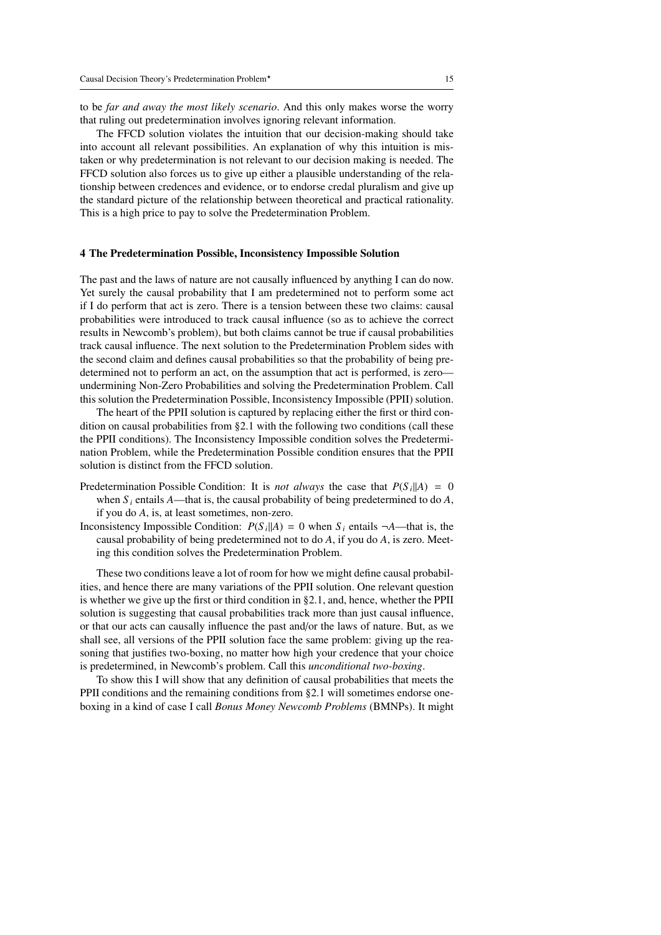to be *far and away the most likely scenario*. And this only makes worse the worry that ruling out predetermination involves ignoring relevant information.

The FFCD solution violates the intuition that our decision-making should take into account all relevant possibilities. An explanation of why this intuition is mistaken or why predetermination is not relevant to our decision making is needed. The FFCD solution also forces us to give up either a plausible understanding of the relationship between credences and evidence, or to endorse credal pluralism and give up the standard picture of the relationship between theoretical and practical rationality. This is a high price to pay to solve the Predetermination Problem.

#### 4 The Predetermination Possible, Inconsistency Impossible Solution

The past and the laws of nature are not causally influenced by anything I can do now. Yet surely the causal probability that I am predetermined not to perform some act if I do perform that act is zero. There is a tension between these two claims: causal probabilities were introduced to track causal influence (so as to achieve the correct results in Newcomb's problem), but both claims cannot be true if causal probabilities track causal influence. The next solution to the Predetermination Problem sides with the second claim and defines causal probabilities so that the probability of being predetermined not to perform an act, on the assumption that act is performed, is zero undermining Non-Zero Probabilities and solving the Predetermination Problem. Call this solution the Predetermination Possible, Inconsistency Impossible (PPII) solution.

The heart of the PPII solution is captured by replacing either the first or third condition on causal probabilities from §2.1 with the following two conditions (call these the PPII conditions). The Inconsistency Impossible condition solves the Predetermination Problem, while the Predetermination Possible condition ensures that the PPII solution is distinct from the FFCD solution.

- Predetermination Possible Condition: It is *not always* the case that  $P(S_i||A) = 0$ when  $S_i$  entails *A*—that is, the causal probability of being predetermined to do *A*, if you do *A*, is, at least sometimes, non-zero.
- Inconsistency Impossible Condition:  $P(S_i||A) = 0$  when  $S_i$  entails  $\neg A$ —that is, the causal probability of being predetermined not to do *A*, if you do *A*, is zero. Meeting this condition solves the Predetermination Problem.

These two conditions leave a lot of room for how we might define causal probabilities, and hence there are many variations of the PPII solution. One relevant question is whether we give up the first or third condition in §2.1, and, hence, whether the PPII solution is suggesting that causal probabilities track more than just causal influence, or that our acts can causally influence the past and/or the laws of nature. But, as we shall see, all versions of the PPII solution face the same problem: giving up the reasoning that justifies two-boxing, no matter how high your credence that your choice is predetermined, in Newcomb's problem. Call this *unconditional two-boxing*.

To show this I will show that any definition of causal probabilities that meets the PPII conditions and the remaining conditions from §2.1 will sometimes endorse oneboxing in a kind of case I call *Bonus Money Newcomb Problems* (BMNPs). It might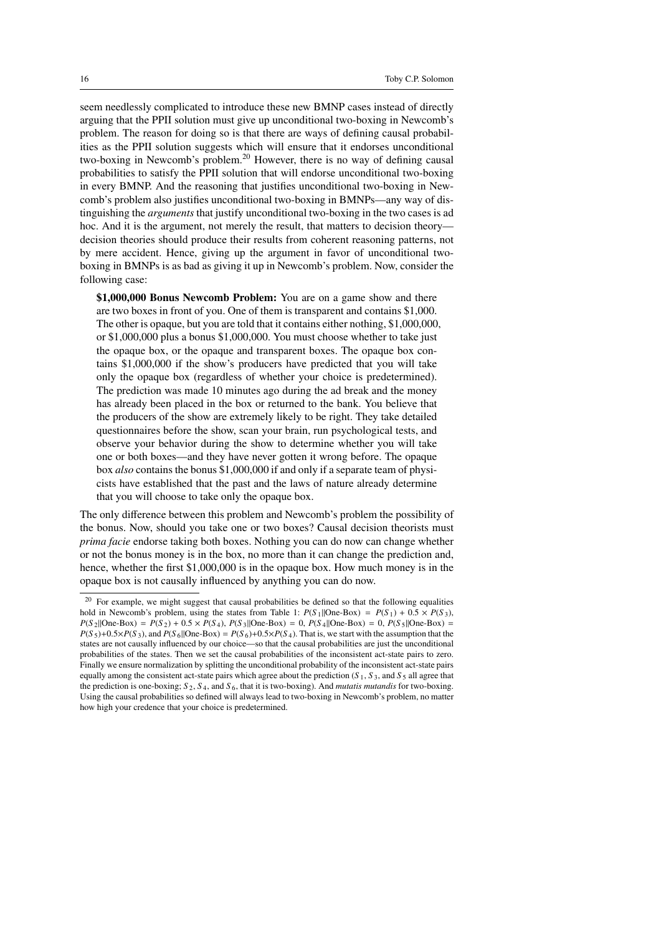seem needlessly complicated to introduce these new BMNP cases instead of directly arguing that the PPII solution must give up unconditional two-boxing in Newcomb's problem. The reason for doing so is that there are ways of defining causal probabilities as the PPII solution suggests which will ensure that it endorses unconditional two-boxing in Newcomb's problem.<sup>20</sup> However, there is no way of defining causal probabilities to satisfy the PPII solution that will endorse unconditional two-boxing in every BMNP. And the reasoning that justifies unconditional two-boxing in Newcomb's problem also justifies unconditional two-boxing in BMNPs—any way of distinguishing the *arguments* that justify unconditional two-boxing in the two cases is ad hoc. And it is the argument, not merely the result, that matters to decision theory decision theories should produce their results from coherent reasoning patterns, not by mere accident. Hence, giving up the argument in favor of unconditional twoboxing in BMNPs is as bad as giving it up in Newcomb's problem. Now, consider the following case:

\$1,000,000 Bonus Newcomb Problem: You are on a game show and there are two boxes in front of you. One of them is transparent and contains \$1,000. The other is opaque, but you are told that it contains either nothing, \$1,000,000, or \$1,000,000 plus a bonus \$1,000,000. You must choose whether to take just the opaque box, or the opaque and transparent boxes. The opaque box contains \$1,000,000 if the show's producers have predicted that you will take only the opaque box (regardless of whether your choice is predetermined). The prediction was made 10 minutes ago during the ad break and the money has already been placed in the box or returned to the bank. You believe that the producers of the show are extremely likely to be right. They take detailed questionnaires before the show, scan your brain, run psychological tests, and observe your behavior during the show to determine whether you will take one or both boxes—and they have never gotten it wrong before. The opaque box *also* contains the bonus \$1,000,000 if and only if a separate team of physicists have established that the past and the laws of nature already determine that you will choose to take only the opaque box.

The only difference between this problem and Newcomb's problem the possibility of the bonus. Now, should you take one or two boxes? Causal decision theorists must *prima facie* endorse taking both boxes. Nothing you can do now can change whether or not the bonus money is in the box, no more than it can change the prediction and, hence, whether the first \$1,000,000 is in the opaque box. How much money is in the opaque box is not causally influenced by anything you can do now.

<sup>&</sup>lt;sup>20</sup> For example, we might suggest that causal probabilities be defined so that the following equalities hold in Newcomb's problem, using the states from Table 1:  $P(S_1||\text{One-Box}) = P(S_1) + 0.5 \times P(S_3)$ ,  $P(S_2||\text{One-Box}) = P(S_2) + 0.5 \times P(S_4)$ ,  $P(S_3||\text{One-Box}) = 0$ ,  $P(S_4||\text{One-Box}) = 0$ ,  $P(S_5||\text{One-Box}) = 0$  $P(S_5) + 0.5 \times P(S_3)$ , and  $P(S_6)$ ||One-Box) =  $P(S_6) + 0.5 \times P(S_4)$ . That is, we start with the assumption that the states are not causally influenced by our choice—so that the causal probabilities are just the unconditional probabilities of the states. Then we set the causal probabilities of the inconsistent act-state pairs to zero. Finally we ensure normalization by splitting the unconditional probability of the inconsistent act-state pairs equally among the consistent act-state pairs which agree about the prediction  $(S_1, S_3)$ , and  $S_5$  all agree that the prediction is one-boxing; *S* <sup>2</sup>, *S* <sup>4</sup>, and *S* <sup>6</sup>, that it is two-boxing). And *mutatis mutandis* for two-boxing. Using the causal probabilities so defined will always lead to two-boxing in Newcomb's problem, no matter how high your credence that your choice is predetermined.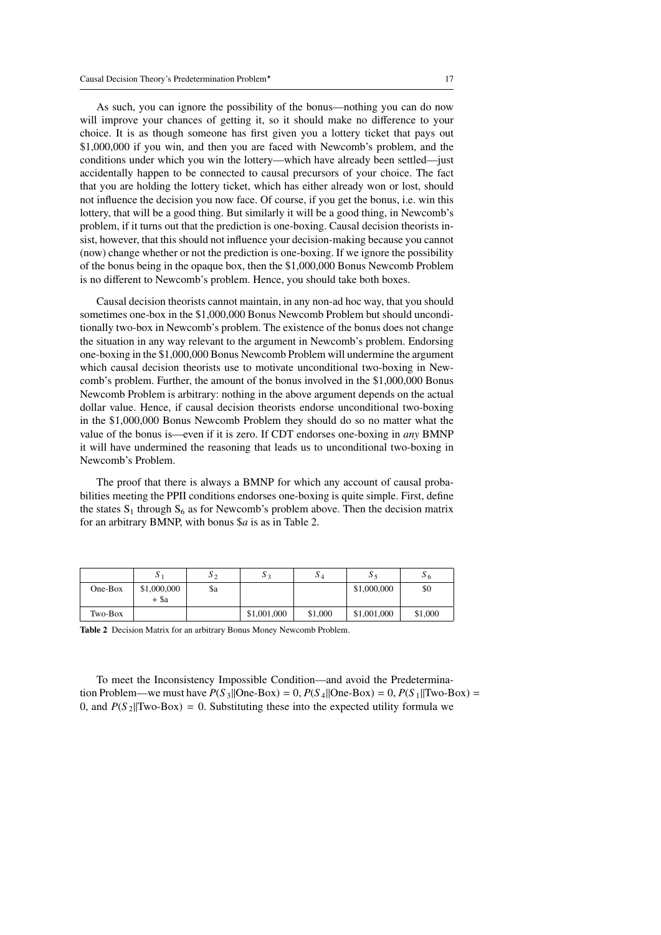As such, you can ignore the possibility of the bonus—nothing you can do now will improve your chances of getting it, so it should make no difference to your choice. It is as though someone has first given you a lottery ticket that pays out \$1,000,000 if you win, and then you are faced with Newcomb's problem, and the conditions under which you win the lottery—which have already been settled—just accidentally happen to be connected to causal precursors of your choice. The fact that you are holding the lottery ticket, which has either already won or lost, should not influence the decision you now face. Of course, if you get the bonus, i.e. win this lottery, that will be a good thing. But similarly it will be a good thing, in Newcomb's problem, if it turns out that the prediction is one-boxing. Causal decision theorists insist, however, that this should not influence your decision-making because you cannot (now) change whether or not the prediction is one-boxing. If we ignore the possibility of the bonus being in the opaque box, then the \$1,000,000 Bonus Newcomb Problem is no different to Newcomb's problem. Hence, you should take both boxes.

Causal decision theorists cannot maintain, in any non-ad hoc way, that you should sometimes one-box in the \$1,000,000 Bonus Newcomb Problem but should unconditionally two-box in Newcomb's problem. The existence of the bonus does not change the situation in any way relevant to the argument in Newcomb's problem. Endorsing one-boxing in the \$1,000,000 Bonus Newcomb Problem will undermine the argument which causal decision theorists use to motivate unconditional two-boxing in Newcomb's problem. Further, the amount of the bonus involved in the \$1,000,000 Bonus Newcomb Problem is arbitrary: nothing in the above argument depends on the actual dollar value. Hence, if causal decision theorists endorse unconditional two-boxing in the \$1,000,000 Bonus Newcomb Problem they should do so no matter what the value of the bonus is—even if it is zero. If CDT endorses one-boxing in *any* BMNP it will have undermined the reasoning that leads us to unconditional two-boxing in Newcomb's Problem.

The proof that there is always a BMNP for which any account of causal probabilities meeting the PPII conditions endorses one-boxing is quite simple. First, define the states  $S_1$  through  $S_6$  as for Newcomb's problem above. Then the decision matrix for an arbitrary BMNP, with bonus \$*a* is as in Table 2.

|           | 1 ف         | $S_2$ | 3 م         | $\mathcal{S}_4$ | 5 ن         | ა 6     |
|-----------|-------------|-------|-------------|-----------------|-------------|---------|
| $One-Box$ | \$1,000,000 | \$a   |             |                 | \$1,000,000 | \$0     |
|           | $+$ \$a     |       |             |                 |             |         |
| Two-Box   |             |       | \$1,001,000 | \$1,000         | \$1,001,000 | \$1,000 |

Table 2 Decision Matrix for an arbitrary Bonus Money Newcomb Problem.

To meet the Inconsistency Impossible Condition—and avoid the Predetermination Problem—we must have  $P(S_3||\text{One-Box}) = 0$ ,  $P(S_4||\text{One-Box}) = 0$ ,  $P(S_1||\text{Two-Box}) =$ 0, and  $P(S_2||Two-Box) = 0$ . Substituting these into the expected utility formula we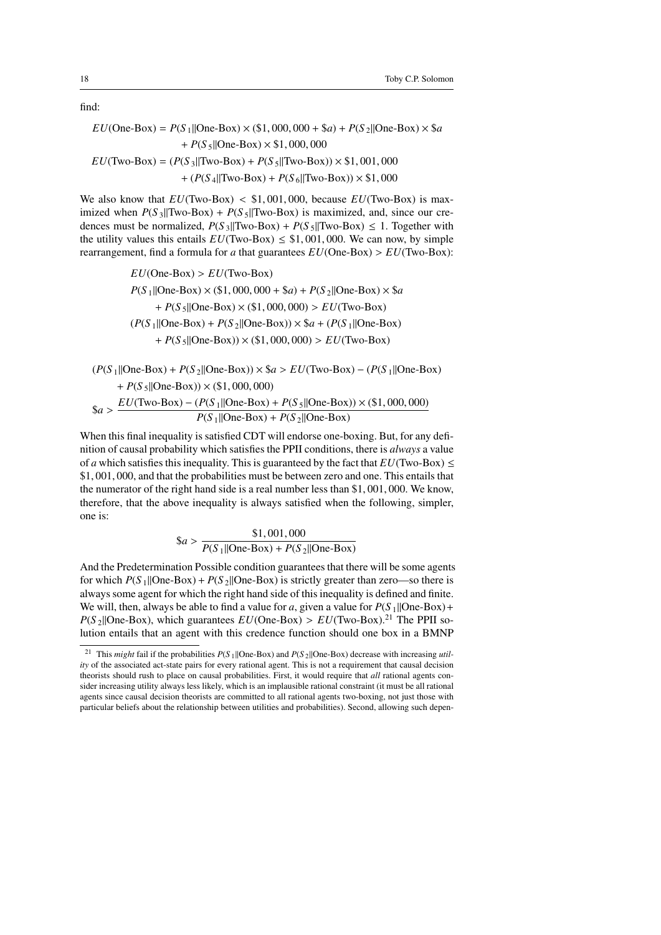find:

$$
EU(\text{One-Box}) = P(S_1||\text{One-Box}) \times (\$1,000,000 + \$a) + P(S_2||\text{One-Box}) \times \$a
$$
  
+  $P(S_5||\text{One-Box}) \times \$1,000,000$   
 $EU(\text{Two-Box}) = (P(S_3||\text{Two-Box}) + P(S_5||\text{Two-Box})) \times \$1,001,000$   
+  $(P(S_4||\text{Two-Box}) + P(S_6||\text{Two-Box})) \times \$1,000$ 

We also know that  $EU(\text{Two-Box}) < $1,001,000$ , because  $EU(\text{Two-Box})$  is maximized when  $P(S_3||Two-Box) + P(S_5||Two-Box)$  is maximized, and, since our credences must be normalized,  $P(S_3||Two-Box) + P(S_5||Two-Box) \le 1$ . Together with the utility values this entails  $EU(Two-Box) \leq $1,001,000$ . We can now, by simple rearrangement, find a formula for *<sup>a</sup>* that guarantees *EU*(One-Box) > *EU*(Two-Box):

$$
EU(\text{One-Box}) > EU(\text{Two-Box}) \nP(S_1||\text{One-Box}) \times (\$1,000,000 + \$a) + P(S_2||\text{One-Box}) \times \$a \n+ P(S_5||\text{One-Box}) \times (\$1,000,000) > EU(\text{Two-Box}) \n(P(S_1||\text{One-Box}) + P(S_2||\text{One-Box})) \times \$a + (P(S_1||\text{One-Box}) \n+ P(S_5||\text{One-Box})) \times (\$1,000,000) > EU(\text{Two-Box})
$$

(*P*(*<sup>S</sup>* <sup>1</sup>||One-Box) <sup>+</sup> *<sup>P</sup>*(*<sup>S</sup>* <sup>2</sup>||One-Box)) <sup>×</sup> \$*<sup>a</sup>* > *EU*(Two-Box) <sup>−</sup> (*P*(*<sup>S</sup>* <sup>1</sup>||One-Box)  $+ P(S_5||One-Box) \times (1,000,000)$  $a >$ *EU*(Two-Box) <sup>−</sup> (*P*(*<sup>S</sup>* <sup>1</sup>||One-Box) <sup>+</sup> *<sup>P</sup>*(*<sup>S</sup>* <sup>5</sup>||One-Box)) <sup>×</sup> (\$1, <sup>000</sup>, 000)

$$
P(S_1||One-Box) + P(S_2||One-Box)
$$

When this final inequality is satisfied CDT will endorse one-boxing. But, for any definition of causal probability which satisfies the PPII conditions, there is *always* a value of *a* which satisfies this inequality. This is guaranteed by the fact that  $EU(\mathsf{Two-Box}) \leq$ \$1, <sup>001</sup>, 000, and that the probabilities must be between zero and one. This entails that the numerator of the right hand side is a real number less than \$1, <sup>001</sup>, 000. We know, therefore, that the above inequality is always satisfied when the following, simpler, one is:

$$
a > \frac{$1,001,000}{$P(S_1 || One\text{-}Box) + P(S_2 || One\text{-}Box)}
$$

And the Predetermination Possible condition guarantees that there will be some agents for which  $P(S_1||\text{One-Box}) + P(S_2||\text{One-Box})$  is strictly greater than zero—so there is always some agent for which the right hand side of this inequality is defined and finite. We will, then, always be able to find a value for *a*, given a value for  $P(S_1||One-Box)$ +  $P(S_2||One-Box)$ , which guarantees  $EU(One-Box) > EU(Two-Box).$ <sup>21</sup> The PPII solution entails that an agent with this credence function should one box in a BMNP

<sup>&</sup>lt;sup>21</sup> This *might* fail if the probabilities  $P(S_1 || One-Box)$  and  $P(S_2 || One-Box)$  decrease with increasing *utility* of the associated act-state pairs for every rational agent. This is not a requirement that causal decision theorists should rush to place on causal probabilities. First, it would require that *all* rational agents consider increasing utility always less likely, which is an implausible rational constraint (it must be all rational agents since causal decision theorists are committed to all rational agents two-boxing, not just those with particular beliefs about the relationship between utilities and probabilities). Second, allowing such depen-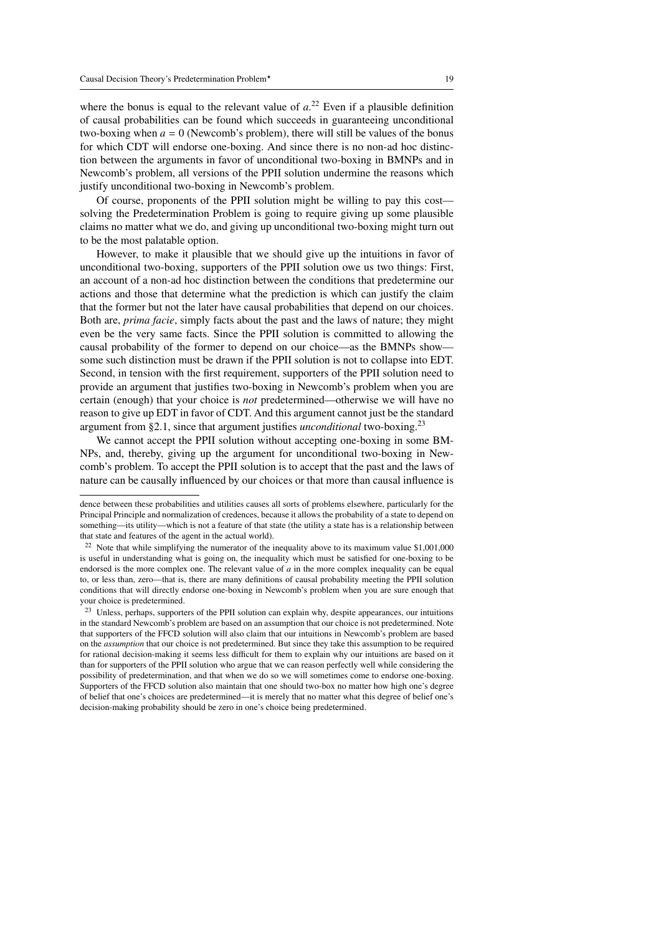where the bonus is equal to the relevant value of  $a^{22}$  Even if a plausible definition of causal probabilities can be found which succeeds in guaranteeing unconditional two-boxing when  $a = 0$  (Newcomb's problem), there will still be values of the bonus for which CDT will endorse one-boxing. And since there is no non-ad hoc distinction between the arguments in favor of unconditional two-boxing in BMNPs and in Newcomb's problem, all versions of the PPII solution undermine the reasons which justify unconditional two-boxing in Newcomb's problem.

Of course, proponents of the PPII solution might be willing to pay this cost solving the Predetermination Problem is going to require giving up some plausible claims no matter what we do, and giving up unconditional two-boxing might turn out to be the most palatable option.

However, to make it plausible that we should give up the intuitions in favor of unconditional two-boxing, supporters of the PPII solution owe us two things: First, an account of a non-ad hoc distinction between the conditions that predetermine our actions and those that determine what the prediction is which can justify the claim that the former but not the later have causal probabilities that depend on our choices. Both are, *prima facie*, simply facts about the past and the laws of nature; they might even be the very same facts. Since the PPII solution is committed to allowing the causal probability of the former to depend on our choice—as the BMNPs show some such distinction must be drawn if the PPII solution is not to collapse into EDT. Second, in tension with the first requirement, supporters of the PPII solution need to provide an argument that justifies two-boxing in Newcomb's problem when you are certain (enough) that your choice is *not* predetermined—otherwise we will have no reason to give up EDT in favor of CDT. And this argument cannot just be the standard argument from §2.1, since that argument justifies *unconditional* two-boxing.<sup>23</sup>

We cannot accept the PPII solution without accepting one-boxing in some BM-NPs, and, thereby, giving up the argument for unconditional two-boxing in Newcomb's problem. To accept the PPII solution is to accept that the past and the laws of nature can be causally influenced by our choices or that more than causal influence is

dence between these probabilities and utilities causes all sorts of problems elsewhere, particularly for the Principal Principle and normalization of credences, because it allows the probability of a state to depend on something—its utility—which is not a feature of that state (the utility a state has is a relationship between that state and features of the agent in the actual world).

<sup>&</sup>lt;sup>22</sup> Note that while simplifying the numerator of the inequality above to its maximum value \$1,001,000 is useful in understanding what is going on, the inequality which must be satisfied for one-boxing to be endorsed is the more complex one. The relevant value of *a* in the more complex inequality can be equal to, or less than, zero—that is, there are many definitions of causal probability meeting the PPII solution conditions that will directly endorse one-boxing in Newcomb's problem when you are sure enough that your choice is predetermined.

<sup>23</sup> Unless, perhaps, supporters of the PPII solution can explain why, despite appearances, our intuitions in the standard Newcomb's problem are based on an assumption that our choice is not predetermined. Note that supporters of the FFCD solution will also claim that our intuitions in Newcomb's problem are based on the *assumption* that our choice is not predetermined. But since they take this assumption to be required for rational decision-making it seems less difficult for them to explain why our intuitions are based on it than for supporters of the PPII solution who argue that we can reason perfectly well while considering the possibility of predetermination, and that when we do so we will sometimes come to endorse one-boxing. Supporters of the FFCD solution also maintain that one should two-box no matter how high one's degree of belief that one's choices are predetermined—it is merely that no matter what this degree of belief one's decision-making probability should be zero in one's choice being predetermined.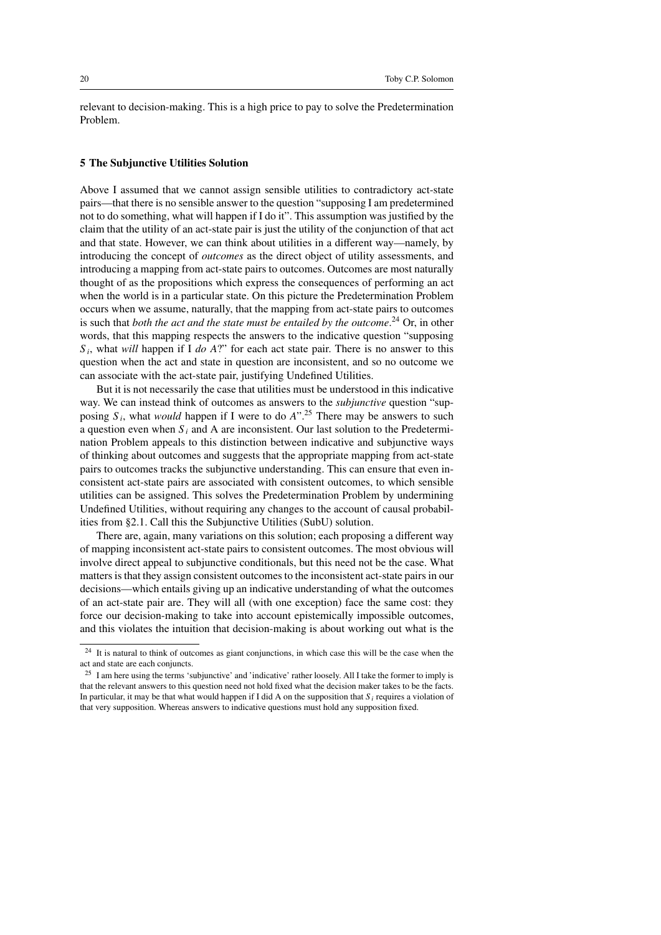relevant to decision-making. This is a high price to pay to solve the Predetermination Problem.

### 5 The Subjunctive Utilities Solution

Above I assumed that we cannot assign sensible utilities to contradictory act-state pairs—that there is no sensible answer to the question "supposing I am predetermined not to do something, what will happen if I do it". This assumption was justified by the claim that the utility of an act-state pair is just the utility of the conjunction of that act and that state. However, we can think about utilities in a different way—namely, by introducing the concept of *outcomes* as the direct object of utility assessments, and introducing a mapping from act-state pairs to outcomes. Outcomes are most naturally thought of as the propositions which express the consequences of performing an act when the world is in a particular state. On this picture the Predetermination Problem occurs when we assume, naturally, that the mapping from act-state pairs to outcomes is such that *both the act and the state must be entailed by the outcome*.<sup>24</sup> Or, in other words, that this mapping respects the answers to the indicative question "supposing *S i* , what *will* happen if I *do A*?" for each act state pair. There is no answer to this question when the act and state in question are inconsistent, and so no outcome we can associate with the act-state pair, justifying Undefined Utilities.

But it is not necessarily the case that utilities must be understood in this indicative way. We can instead think of outcomes as answers to the *subjunctive* question "supposing  $S_i$ , what *would* happen if I were to do  $A$ "<sup>25</sup>. There may be answers to such a question even when  $S_i$  and A are inconsistent. Our last solution to the Predetermination Problem appeals to this distinction between indicative and subjunctive ways of thinking about outcomes and suggests that the appropriate mapping from act-state pairs to outcomes tracks the subjunctive understanding. This can ensure that even inconsistent act-state pairs are associated with consistent outcomes, to which sensible utilities can be assigned. This solves the Predetermination Problem by undermining Undefined Utilities, without requiring any changes to the account of causal probabilities from §2.1. Call this the Subjunctive Utilities (SubU) solution.

There are, again, many variations on this solution; each proposing a different way of mapping inconsistent act-state pairs to consistent outcomes. The most obvious will involve direct appeal to subjunctive conditionals, but this need not be the case. What matters is that they assign consistent outcomes to the inconsistent act-state pairs in our decisions—which entails giving up an indicative understanding of what the outcomes of an act-state pair are. They will all (with one exception) face the same cost: they force our decision-making to take into account epistemically impossible outcomes, and this violates the intuition that decision-making is about working out what is the

<sup>&</sup>lt;sup>24</sup> It is natural to think of outcomes as giant conjunctions, in which case this will be the case when the act and state are each conjuncts.

<sup>&</sup>lt;sup>25</sup> I am here using the terms 'subjunctive' and 'indicative' rather loosely. All I take the former to imply is that the relevant answers to this question need not hold fixed what the decision maker takes to be the facts. In particular, it may be that what would happen if I did A on the supposition that  $S_i$  requires a violation of that very supposition. Whereas answers to indicative questions must hold any supposition fixed.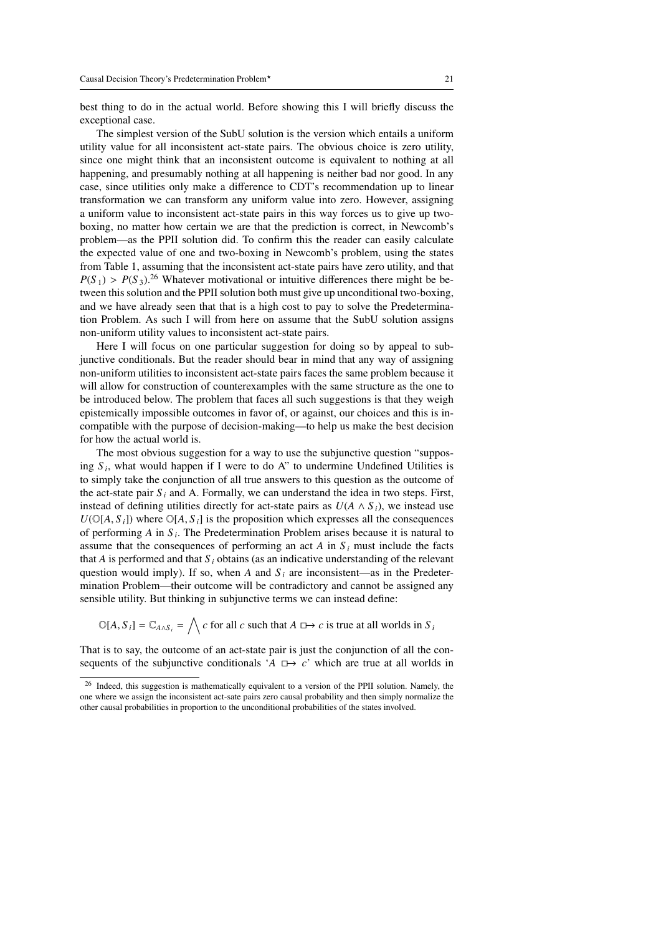best thing to do in the actual world. Before showing this I will briefly discuss the exceptional case.

The simplest version of the SubU solution is the version which entails a uniform utility value for all inconsistent act-state pairs. The obvious choice is zero utility, since one might think that an inconsistent outcome is equivalent to nothing at all happening, and presumably nothing at all happening is neither bad nor good. In any case, since utilities only make a difference to CDT's recommendation up to linear transformation we can transform any uniform value into zero. However, assigning a uniform value to inconsistent act-state pairs in this way forces us to give up twoboxing, no matter how certain we are that the prediction is correct, in Newcomb's problem—as the PPII solution did. To confirm this the reader can easily calculate the expected value of one and two-boxing in Newcomb's problem, using the states from Table 1, assuming that the inconsistent act-state pairs have zero utility, and that  $P(S_1)$  >  $P(S_3)$ .<sup>26</sup> Whatever motivational or intuitive differences there might be between this solution and the PPII solution both must give up unconditional two-boxing, and we have already seen that that is a high cost to pay to solve the Predetermination Problem. As such I will from here on assume that the SubU solution assigns non-uniform utility values to inconsistent act-state pairs.

Here I will focus on one particular suggestion for doing so by appeal to subjunctive conditionals. But the reader should bear in mind that any way of assigning non-uniform utilities to inconsistent act-state pairs faces the same problem because it will allow for construction of counterexamples with the same structure as the one to be introduced below. The problem that faces all such suggestions is that they weigh epistemically impossible outcomes in favor of, or against, our choices and this is incompatible with the purpose of decision-making—to help us make the best decision for how the actual world is.

The most obvious suggestion for a way to use the subjunctive question "supposing  $S_i$ , what would happen if I were to do A" to undermine Undefined Utilities is to simply take the conjunction of all true answers to this question as the outcome of the act-state pair  $S_i$  and A. Formally, we can understand the idea in two steps. First, instead of defining utilities directly for act-state pairs as  $U(A \wedge S_i)$ , we instead use  $U(\mathbb{O}[A, S_i])$  where  $\mathbb{O}[A, S_i]$  is the proposition which expresses all the consequences of performing *A* in *S <sup>i</sup>* . The Predetermination Problem arises because it is natural to assume that the consequences of performing an act  $A$  in  $S_i$  must include the facts that *A* is performed and that  $S_i$  obtains (as an indicative understanding of the relevant question would imply). If so, when *A* and  $S_i$  are inconsistent—as in the Predetermination Problem—their outcome will be contradictory and cannot be assigned any sensible utility. But thinking in subjunctive terms we can instead define:

 $\mathbb{O}[A, S_i] = \mathbb{C}_{A \wedge S_i} = \bigwedge c$  for all *c* such that  $A \square \rightarrow c$  is true at all worlds in  $S_i$ 

That is to say, the outcome of an act-state pair is just the conjunction of all the consequents of the subjunctive conditionals ' $A \Box \rightarrow c$ ' which are true at all worlds in

<sup>&</sup>lt;sup>26</sup> Indeed, this suggestion is mathematically equivalent to a version of the PPII solution. Namely, the one where we assign the inconsistent act-sate pairs zero causal probability and then simply normalize the other causal probabilities in proportion to the unconditional probabilities of the states involved.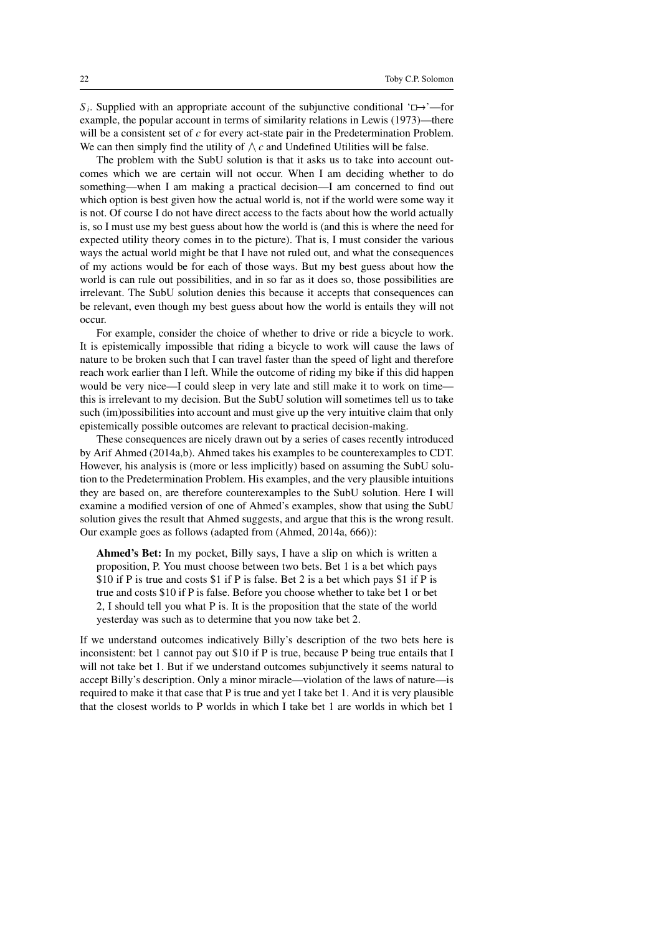$S_i$ . Supplied with an appropriate account of the subjunctive conditional ' $\Box \rightarrow$ '---for example, the popular account in terms of similarity relations in Lewis (1973)—there will be a consistent set of *c* for every act-state pair in the Predetermination Problem. We can then simply find the utility of  $\wedge c$  and Undefined Utilities will be false.

The problem with the SubU solution is that it asks us to take into account outcomes which we are certain will not occur. When I am deciding whether to do something—when I am making a practical decision—I am concerned to find out which option is best given how the actual world is, not if the world were some way it is not. Of course I do not have direct access to the facts about how the world actually is, so I must use my best guess about how the world is (and this is where the need for expected utility theory comes in to the picture). That is, I must consider the various ways the actual world might be that I have not ruled out, and what the consequences of my actions would be for each of those ways. But my best guess about how the world is can rule out possibilities, and in so far as it does so, those possibilities are irrelevant. The SubU solution denies this because it accepts that consequences can be relevant, even though my best guess about how the world is entails they will not occur.

For example, consider the choice of whether to drive or ride a bicycle to work. It is epistemically impossible that riding a bicycle to work will cause the laws of nature to be broken such that I can travel faster than the speed of light and therefore reach work earlier than I left. While the outcome of riding my bike if this did happen would be very nice—I could sleep in very late and still make it to work on time this is irrelevant to my decision. But the SubU solution will sometimes tell us to take such (im)possibilities into account and must give up the very intuitive claim that only epistemically possible outcomes are relevant to practical decision-making.

These consequences are nicely drawn out by a series of cases recently introduced by Arif Ahmed (2014a,b). Ahmed takes his examples to be counterexamples to CDT. However, his analysis is (more or less implicitly) based on assuming the SubU solution to the Predetermination Problem. His examples, and the very plausible intuitions they are based on, are therefore counterexamples to the SubU solution. Here I will examine a modified version of one of Ahmed's examples, show that using the SubU solution gives the result that Ahmed suggests, and argue that this is the wrong result. Our example goes as follows (adapted from (Ahmed, 2014a, 666)):

Ahmed's Bet: In my pocket, Billy says, I have a slip on which is written a proposition, P. You must choose between two bets. Bet 1 is a bet which pays \$10 if P is true and costs \$1 if P is false. Bet 2 is a bet which pays \$1 if P is true and costs \$10 if P is false. Before you choose whether to take bet 1 or bet 2, I should tell you what P is. It is the proposition that the state of the world yesterday was such as to determine that you now take bet 2.

If we understand outcomes indicatively Billy's description of the two bets here is inconsistent: bet 1 cannot pay out \$10 if P is true, because P being true entails that I will not take bet 1. But if we understand outcomes subjunctively it seems natural to accept Billy's description. Only a minor miracle—violation of the laws of nature—is required to make it that case that P is true and yet I take bet 1. And it is very plausible that the closest worlds to P worlds in which I take bet 1 are worlds in which bet 1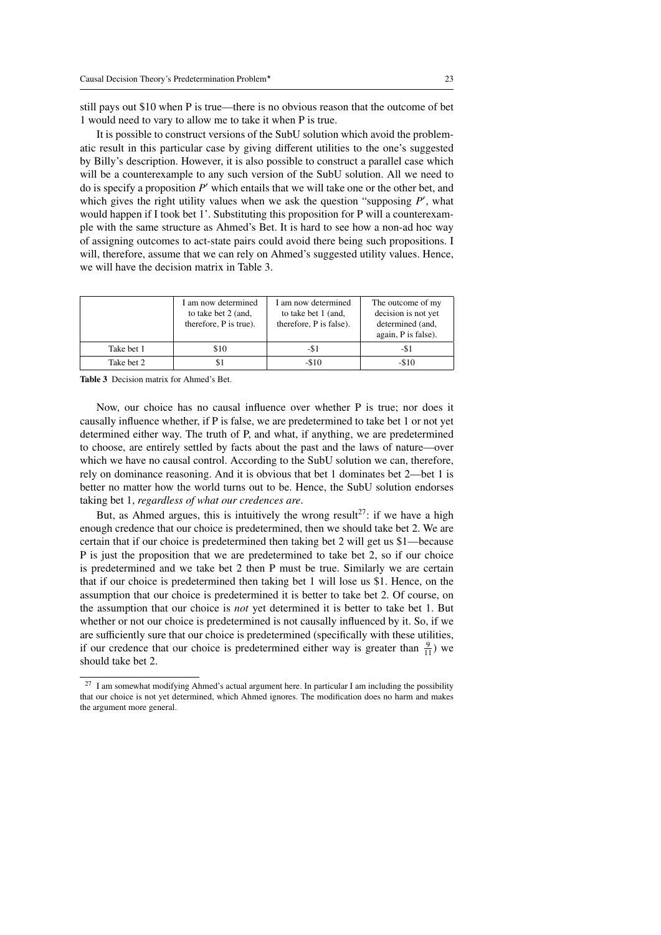still pays out \$10 when P is true—there is no obvious reason that the outcome of bet 1 would need to vary to allow me to take it when P is true.

It is possible to construct versions of the SubU solution which avoid the problematic result in this particular case by giving different utilities to the one's suggested by Billy's description. However, it is also possible to construct a parallel case which will be a counterexample to any such version of the SubU solution. All we need to do is specify a proposition P' which entails that we will take one or the other bet, and which gives the right utility values when we ask the question "supposing  $P'$ , what would happen if I took bet 1'. Substituting this proposition for P will a counterexample with the same structure as Ahmed's Bet. It is hard to see how a non-ad hoc way of assigning outcomes to act-state pairs could avoid there being such propositions. I will, therefore, assume that we can rely on Ahmed's suggested utility values. Hence, we will have the decision matrix in Table 3.

|            | I am now determined<br>to take bet 2 (and,<br>therefore, P is true). | I am now determined<br>to take bet 1 (and,<br>therefore, P is false). | The outcome of my<br>decision is not yet<br>determined (and,<br>again, P is false). |
|------------|----------------------------------------------------------------------|-----------------------------------------------------------------------|-------------------------------------------------------------------------------------|
| Take bet 1 | \$10                                                                 | -\$1                                                                  | -\$1                                                                                |
| Take bet 2 | SІ                                                                   | $-$10$                                                                | $-510$                                                                              |

Table 3 Decision matrix for Ahmed's Bet.

Now, our choice has no causal influence over whether P is true; nor does it causally influence whether, if P is false, we are predetermined to take bet 1 or not yet determined either way. The truth of P, and what, if anything, we are predetermined to choose, are entirely settled by facts about the past and the laws of nature—over which we have no causal control. According to the SubU solution we can, therefore, rely on dominance reasoning. And it is obvious that bet 1 dominates bet 2—bet 1 is better no matter how the world turns out to be. Hence, the SubU solution endorses taking bet 1, *regardless of what our credences are*.

But, as Ahmed argues, this is intuitively the wrong result<sup>27</sup>: if we have a high enough credence that our choice is predetermined, then we should take bet 2. We are certain that if our choice is predetermined then taking bet 2 will get us \$1—because P is just the proposition that we are predetermined to take bet 2, so if our choice is predetermined and we take bet 2 then P must be true. Similarly we are certain that if our choice is predetermined then taking bet 1 will lose us \$1. Hence, on the assumption that our choice is predetermined it is better to take bet 2. Of course, on the assumption that our choice is *not* yet determined it is better to take bet 1. But whether or not our choice is predetermined is not causally influenced by it. So, if we are sufficiently sure that our choice is predetermined (specifically with these utilities, if our credence that our choice is predetermined either way is greater than  $\frac{9}{11}$ ) we should take bet 2.

<sup>27</sup> I am somewhat modifying Ahmed's actual argument here. In particular I am including the possibility that our choice is not yet determined, which Ahmed ignores. The modification does no harm and makes the argument more general.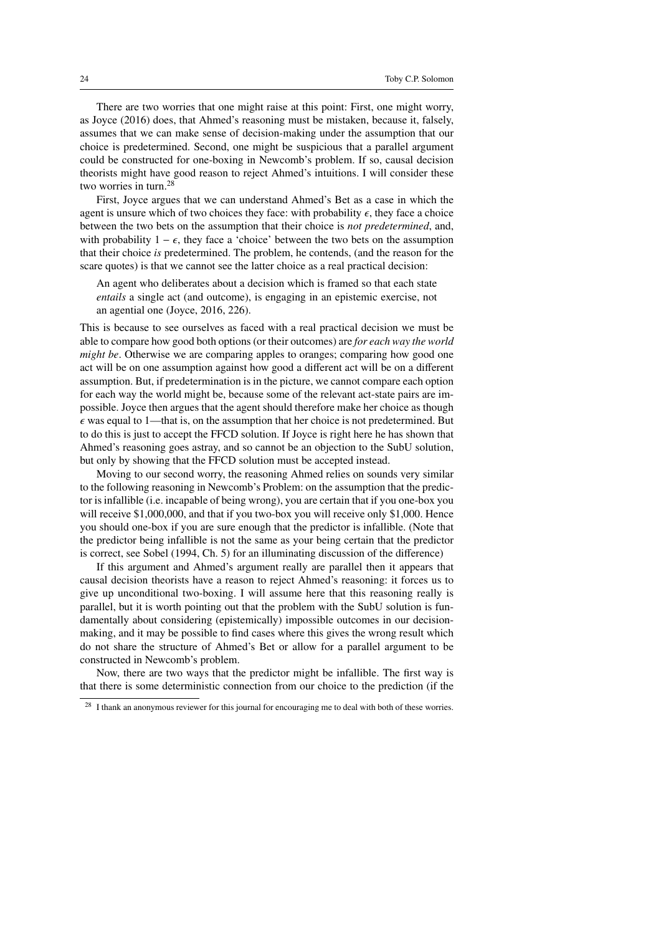There are two worries that one might raise at this point: First, one might worry, as Joyce (2016) does, that Ahmed's reasoning must be mistaken, because it, falsely, assumes that we can make sense of decision-making under the assumption that our choice is predetermined. Second, one might be suspicious that a parallel argument could be constructed for one-boxing in Newcomb's problem. If so, causal decision theorists might have good reason to reject Ahmed's intuitions. I will consider these two worries in turn.<sup>28</sup>

First, Joyce argues that we can understand Ahmed's Bet as a case in which the agent is unsure which of two choices they face: with probability  $\epsilon$ , they face a choice between the two bets on the assumption that their choice is *not predetermined*, and, with probability  $1 - \epsilon$ , they face a 'choice' between the two bets on the assumption that their choice *is* predetermined. The problem, he contends, (and the reason for the scare quotes) is that we cannot see the latter choice as a real practical decision:

An agent who deliberates about a decision which is framed so that each state *entails* a single act (and outcome), is engaging in an epistemic exercise, not an agential one (Joyce, 2016, 226).

This is because to see ourselves as faced with a real practical decision we must be able to compare how good both options (or their outcomes) are *for each way the world might be*. Otherwise we are comparing apples to oranges; comparing how good one act will be on one assumption against how good a different act will be on a different assumption. But, if predetermination is in the picture, we cannot compare each option for each way the world might be, because some of the relevant act-state pairs are impossible. Joyce then argues that the agent should therefore make her choice as though  $\epsilon$  was equal to 1—that is, on the assumption that her choice is not predetermined. But to do this is just to accept the FFCD solution. If Joyce is right here he has shown that Ahmed's reasoning goes astray, and so cannot be an objection to the SubU solution, but only by showing that the FFCD solution must be accepted instead.

Moving to our second worry, the reasoning Ahmed relies on sounds very similar to the following reasoning in Newcomb's Problem: on the assumption that the predictor is infallible (i.e. incapable of being wrong), you are certain that if you one-box you will receive \$1,000,000, and that if you two-box you will receive only \$1,000. Hence you should one-box if you are sure enough that the predictor is infallible. (Note that the predictor being infallible is not the same as your being certain that the predictor is correct, see Sobel (1994, Ch. 5) for an illuminating discussion of the difference)

If this argument and Ahmed's argument really are parallel then it appears that causal decision theorists have a reason to reject Ahmed's reasoning: it forces us to give up unconditional two-boxing. I will assume here that this reasoning really is parallel, but it is worth pointing out that the problem with the SubU solution is fundamentally about considering (epistemically) impossible outcomes in our decisionmaking, and it may be possible to find cases where this gives the wrong result which do not share the structure of Ahmed's Bet or allow for a parallel argument to be constructed in Newcomb's problem.

Now, there are two ways that the predictor might be infallible. The first way is that there is some deterministic connection from our choice to the prediction (if the

<sup>&</sup>lt;sup>28</sup> I thank an anonymous reviewer for this journal for encouraging me to deal with both of these worries.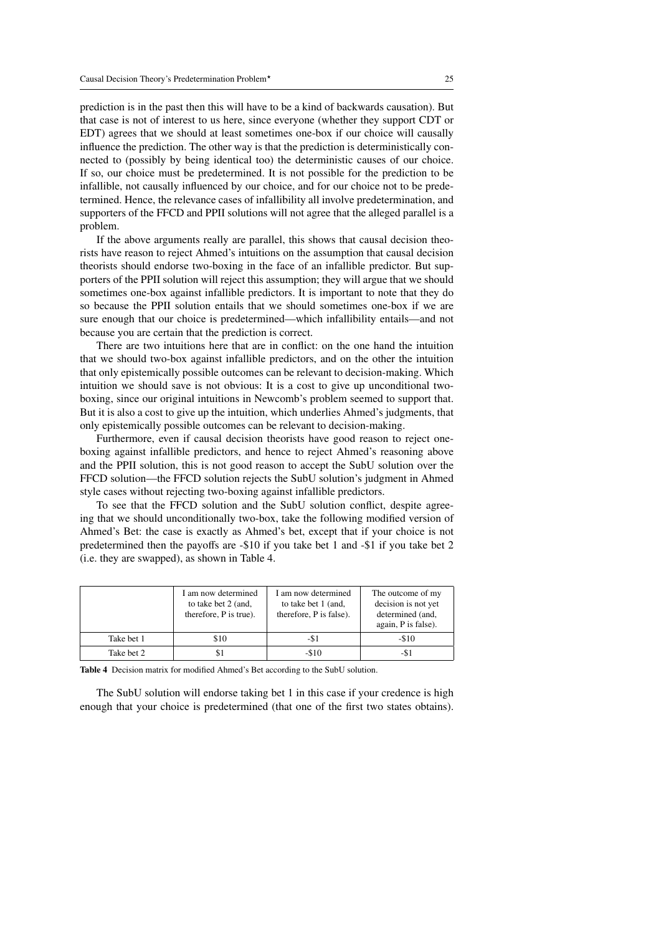prediction is in the past then this will have to be a kind of backwards causation). But that case is not of interest to us here, since everyone (whether they support CDT or EDT) agrees that we should at least sometimes one-box if our choice will causally influence the prediction. The other way is that the prediction is deterministically connected to (possibly by being identical too) the deterministic causes of our choice. If so, our choice must be predetermined. It is not possible for the prediction to be infallible, not causally influenced by our choice, and for our choice not to be predetermined. Hence, the relevance cases of infallibility all involve predetermination, and supporters of the FFCD and PPII solutions will not agree that the alleged parallel is a problem.

If the above arguments really are parallel, this shows that causal decision theorists have reason to reject Ahmed's intuitions on the assumption that causal decision theorists should endorse two-boxing in the face of an infallible predictor. But supporters of the PPII solution will reject this assumption; they will argue that we should sometimes one-box against infallible predictors. It is important to note that they do so because the PPII solution entails that we should sometimes one-box if we are sure enough that our choice is predetermined—which infallibility entails—and not because you are certain that the prediction is correct.

There are two intuitions here that are in conflict: on the one hand the intuition that we should two-box against infallible predictors, and on the other the intuition that only epistemically possible outcomes can be relevant to decision-making. Which intuition we should save is not obvious: It is a cost to give up unconditional twoboxing, since our original intuitions in Newcomb's problem seemed to support that. But it is also a cost to give up the intuition, which underlies Ahmed's judgments, that only epistemically possible outcomes can be relevant to decision-making.

Furthermore, even if causal decision theorists have good reason to reject oneboxing against infallible predictors, and hence to reject Ahmed's reasoning above and the PPII solution, this is not good reason to accept the SubU solution over the FFCD solution—the FFCD solution rejects the SubU solution's judgment in Ahmed style cases without rejecting two-boxing against infallible predictors.

To see that the FFCD solution and the SubU solution conflict, despite agreeing that we should unconditionally two-box, take the following modified version of Ahmed's Bet: the case is exactly as Ahmed's bet, except that if your choice is not predetermined then the payoffs are -\$10 if you take bet 1 and -\$1 if you take bet 2 (i.e. they are swapped), as shown in Table 4.

|            | I am now determined<br>to take bet 2 (and,<br>therefore, P is true). | I am now determined<br>to take bet 1 (and,<br>therefore, P is false). | The outcome of my<br>decision is not yet<br>determined (and,<br>again, P is false). |
|------------|----------------------------------------------------------------------|-----------------------------------------------------------------------|-------------------------------------------------------------------------------------|
| Take bet 1 | \$10                                                                 | -\$1                                                                  | $-510$                                                                              |
| Take bet 2 | 21                                                                   | $-$10$                                                                | -\$1                                                                                |

Table 4 Decision matrix for modified Ahmed's Bet according to the SubU solution.

The SubU solution will endorse taking bet 1 in this case if your credence is high enough that your choice is predetermined (that one of the first two states obtains).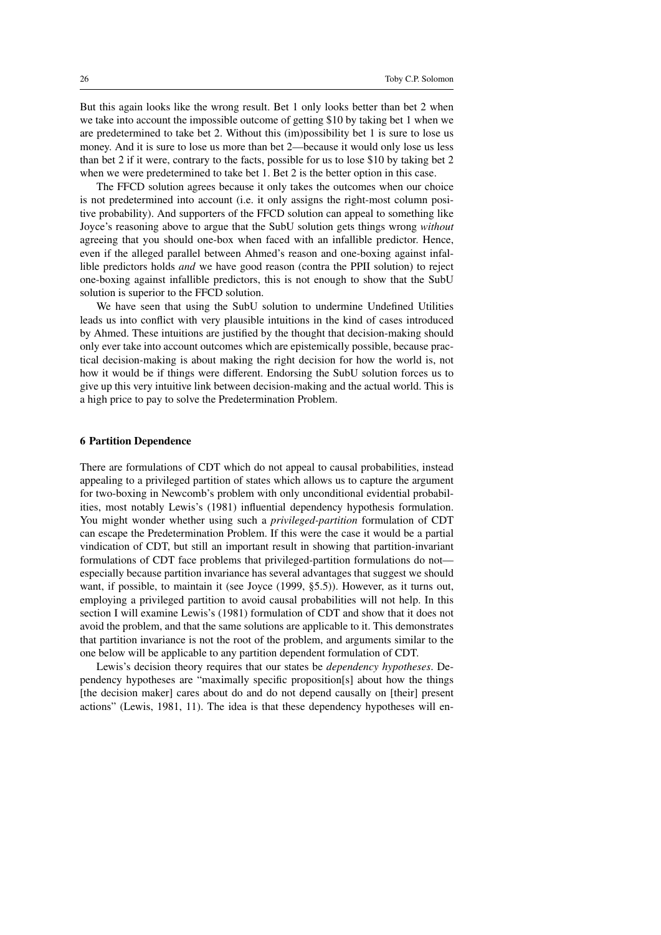But this again looks like the wrong result. Bet 1 only looks better than bet 2 when we take into account the impossible outcome of getting \$10 by taking bet 1 when we are predetermined to take bet 2. Without this (im)possibility bet 1 is sure to lose us money. And it is sure to lose us more than bet 2—because it would only lose us less than bet 2 if it were, contrary to the facts, possible for us to lose \$10 by taking bet 2 when we were predetermined to take bet 1. Bet 2 is the better option in this case.

The FFCD solution agrees because it only takes the outcomes when our choice is not predetermined into account (i.e. it only assigns the right-most column positive probability). And supporters of the FFCD solution can appeal to something like Joyce's reasoning above to argue that the SubU solution gets things wrong *without* agreeing that you should one-box when faced with an infallible predictor. Hence, even if the alleged parallel between Ahmed's reason and one-boxing against infallible predictors holds *and* we have good reason (contra the PPII solution) to reject one-boxing against infallible predictors, this is not enough to show that the SubU solution is superior to the FFCD solution.

We have seen that using the SubU solution to undermine Undefined Utilities leads us into conflict with very plausible intuitions in the kind of cases introduced by Ahmed. These intuitions are justified by the thought that decision-making should only ever take into account outcomes which are epistemically possible, because practical decision-making is about making the right decision for how the world is, not how it would be if things were different. Endorsing the SubU solution forces us to give up this very intuitive link between decision-making and the actual world. This is a high price to pay to solve the Predetermination Problem.

#### 6 Partition Dependence

There are formulations of CDT which do not appeal to causal probabilities, instead appealing to a privileged partition of states which allows us to capture the argument for two-boxing in Newcomb's problem with only unconditional evidential probabilities, most notably Lewis's (1981) influential dependency hypothesis formulation. You might wonder whether using such a *privileged-partition* formulation of CDT can escape the Predetermination Problem. If this were the case it would be a partial vindication of CDT, but still an important result in showing that partition-invariant formulations of CDT face problems that privileged-partition formulations do not especially because partition invariance has several advantages that suggest we should want, if possible, to maintain it (see Joyce (1999, §5.5)). However, as it turns out, employing a privileged partition to avoid causal probabilities will not help. In this section I will examine Lewis's (1981) formulation of CDT and show that it does not avoid the problem, and that the same solutions are applicable to it. This demonstrates that partition invariance is not the root of the problem, and arguments similar to the one below will be applicable to any partition dependent formulation of CDT.

Lewis's decision theory requires that our states be *dependency hypotheses*. Dependency hypotheses are "maximally specific proposition[s] about how the things [the decision maker] cares about do and do not depend causally on [their] present actions" (Lewis, 1981, 11). The idea is that these dependency hypotheses will en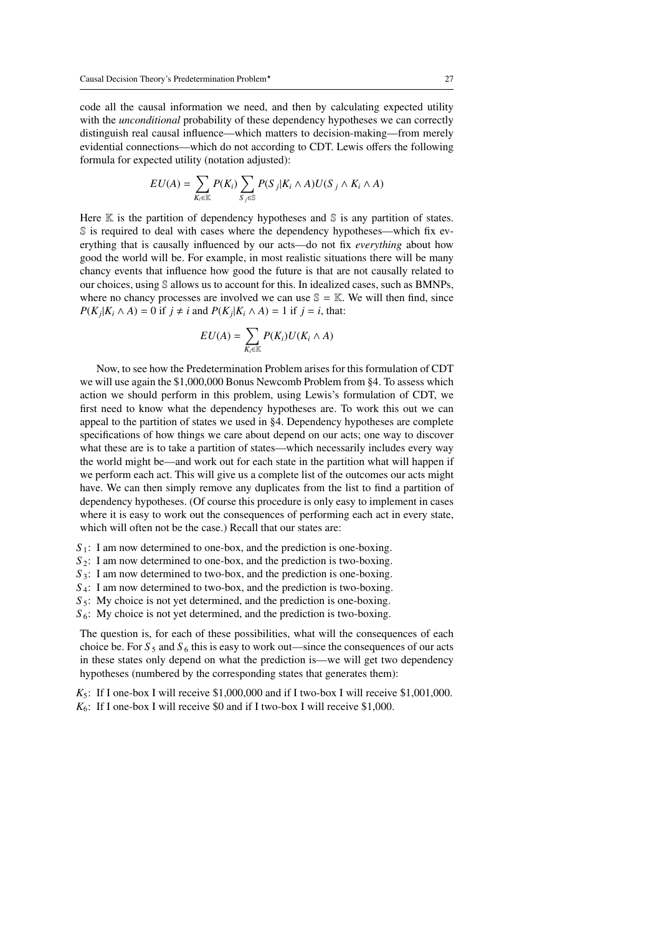code all the causal information we need, and then by calculating expected utility with the *unconditional* probability of these dependency hypotheses we can correctly distinguish real causal influence—which matters to decision-making—from merely evidential connections—which do not according to CDT. Lewis offers the following formula for expected utility (notation adjusted):

$$
EU(A) = \sum_{K_i \in \mathbb{K}} P(K_i) \sum_{S_j \in \mathbb{S}} P(S_j | K_i \wedge A) U(S_j \wedge K_i \wedge A)
$$

Here  $\mathbb K$  is the partition of dependency hypotheses and  $\mathbb S$  is any partition of states. S is required to deal with cases where the dependency hypotheses—which fix everything that is causally influenced by our acts—do not fix *everything* about how good the world will be. For example, in most realistic situations there will be many chancy events that influence how good the future is that are not causally related to our choices, using S allows us to account for this. In idealized cases, such as BMNPs, where no chancy processes are involved we can use  $\mathbb{S} = \mathbb{K}$ . We will then find, since  $P(K_j|K_i \wedge A) = 0$  if  $j \neq i$  and  $P(K_j|K_i \wedge A) = 1$  if  $j = i$ , that:

$$
EU(A) = \sum_{K_i \in \mathbb{K}} P(K_i)U(K_i \wedge A)
$$

Now, to see how the Predetermination Problem arises for this formulation of CDT we will use again the \$1,000,000 Bonus Newcomb Problem from §4. To assess which action we should perform in this problem, using Lewis's formulation of CDT, we first need to know what the dependency hypotheses are. To work this out we can appeal to the partition of states we used in §4. Dependency hypotheses are complete specifications of how things we care about depend on our acts; one way to discover what these are is to take a partition of states—which necessarily includes every way the world might be—and work out for each state in the partition what will happen if we perform each act. This will give us a complete list of the outcomes our acts might have. We can then simply remove any duplicates from the list to find a partition of dependency hypotheses. (Of course this procedure is only easy to implement in cases where it is easy to work out the consequences of performing each act in every state, which will often not be the case.) Recall that our states are:

*S*<sub>1</sub>: I am now determined to one-box, and the prediction is one-boxing.

*S*<sub>2</sub>: I am now determined to one-box, and the prediction is two-boxing.

*S* <sup>3</sup>: I am now determined to two-box, and the prediction is one-boxing.

*S* <sup>4</sup>: I am now determined to two-box, and the prediction is two-boxing.

*S*<sub>5</sub>: My choice is not yet determined, and the prediction is one-boxing.

*S*<sub>6</sub>: My choice is not yet determined, and the prediction is two-boxing.

The question is, for each of these possibilities, what will the consequences of each choice be. For  $S_5$  and  $S_6$  this is easy to work out—since the consequences of our acts in these states only depend on what the prediction is—we will get two dependency hypotheses (numbered by the corresponding states that generates them):

 $K_5$ : If I one-box I will receive \$1,000,000 and if I two-box I will receive \$1,001,000. *K*<sub>6</sub>: If I one-box I will receive \$0 and if I two-box I will receive \$1,000.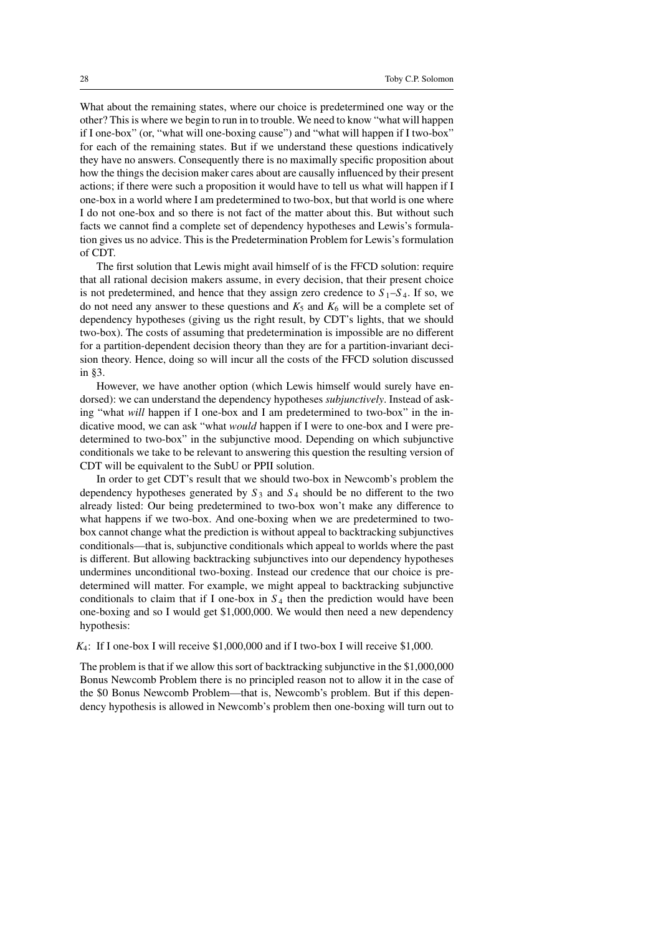What about the remaining states, where our choice is predetermined one way or the other? This is where we begin to run in to trouble. We need to know "what will happen if I one-box" (or, "what will one-boxing cause") and "what will happen if I two-box" for each of the remaining states. But if we understand these questions indicatively they have no answers. Consequently there is no maximally specific proposition about how the things the decision maker cares about are causally influenced by their present actions; if there were such a proposition it would have to tell us what will happen if I one-box in a world where I am predetermined to two-box, but that world is one where I do not one-box and so there is not fact of the matter about this. But without such facts we cannot find a complete set of dependency hypotheses and Lewis's formulation gives us no advice. This is the Predetermination Problem for Lewis's formulation of CDT.

The first solution that Lewis might avail himself of is the FFCD solution: require that all rational decision makers assume, in every decision, that their present choice is not predetermined, and hence that they assign zero credence to  $S_1-S_4$ . If so, we do not need any answer to these questions and  $K_5$  and  $K_6$  will be a complete set of dependency hypotheses (giving us the right result, by CDT's lights, that we should two-box). The costs of assuming that predetermination is impossible are no different for a partition-dependent decision theory than they are for a partition-invariant decision theory. Hence, doing so will incur all the costs of the FFCD solution discussed in §3.

However, we have another option (which Lewis himself would surely have endorsed): we can understand the dependency hypotheses *subjunctively*. Instead of asking "what *will* happen if I one-box and I am predetermined to two-box" in the indicative mood, we can ask "what *would* happen if I were to one-box and I were predetermined to two-box" in the subjunctive mood. Depending on which subjunctive conditionals we take to be relevant to answering this question the resulting version of CDT will be equivalent to the SubU or PPII solution.

In order to get CDT's result that we should two-box in Newcomb's problem the dependency hypotheses generated by  $S_3$  and  $S_4$  should be no different to the two already listed: Our being predetermined to two-box won't make any difference to what happens if we two-box. And one-boxing when we are predetermined to twobox cannot change what the prediction is without appeal to backtracking subjunctives conditionals—that is, subjunctive conditionals which appeal to worlds where the past is different. But allowing backtracking subjunctives into our dependency hypotheses undermines unconditional two-boxing. Instead our credence that our choice is predetermined will matter. For example, we might appeal to backtracking subjunctive conditionals to claim that if I one-box in  $S<sub>4</sub>$  then the prediction would have been one-boxing and so I would get \$1,000,000. We would then need a new dependency hypothesis:

*K*4: If I one-box I will receive \$1,000,000 and if I two-box I will receive \$1,000.

The problem is that if we allow this sort of backtracking subjunctive in the \$1,000,000 Bonus Newcomb Problem there is no principled reason not to allow it in the case of the \$0 Bonus Newcomb Problem—that is, Newcomb's problem. But if this dependency hypothesis is allowed in Newcomb's problem then one-boxing will turn out to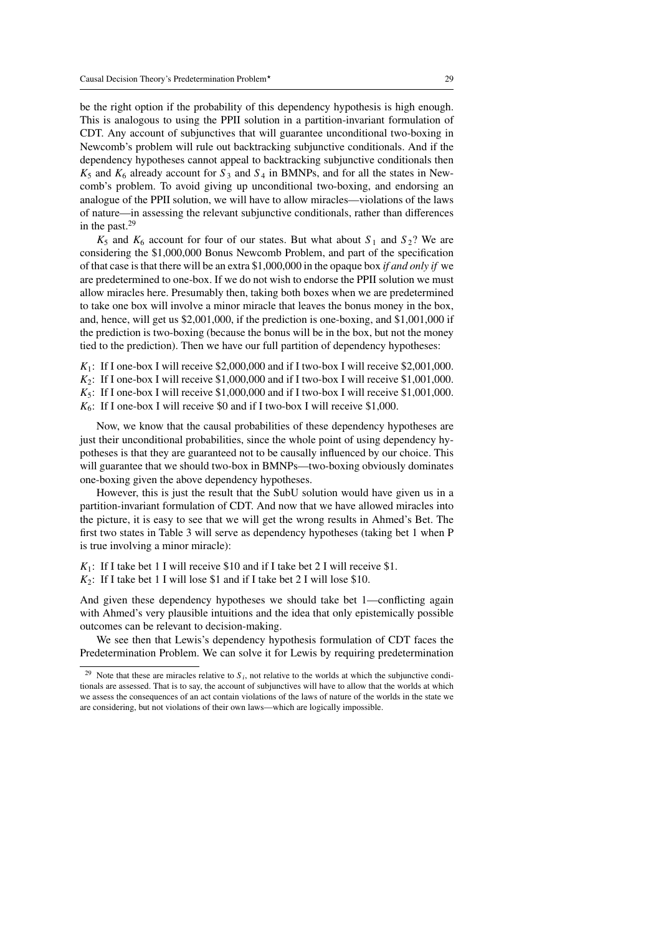be the right option if the probability of this dependency hypothesis is high enough. This is analogous to using the PPII solution in a partition-invariant formulation of CDT. Any account of subjunctives that will guarantee unconditional two-boxing in Newcomb's problem will rule out backtracking subjunctive conditionals. And if the dependency hypotheses cannot appeal to backtracking subjunctive conditionals then  $K_5$  and  $K_6$  already account for  $S_3$  and  $S_4$  in BMNPs, and for all the states in Newcomb's problem. To avoid giving up unconditional two-boxing, and endorsing an analogue of the PPII solution, we will have to allow miracles—violations of the laws of nature—in assessing the relevant subjunctive conditionals, rather than differences in the past.<sup>29</sup>

 $K_5$  and  $K_6$  account for four of our states. But what about  $S_1$  and  $S_2$ ? We are considering the \$1,000,000 Bonus Newcomb Problem, and part of the specification of that case is that there will be an extra \$1,000,000 in the opaque box *if and only if* we are predetermined to one-box. If we do not wish to endorse the PPII solution we must allow miracles here. Presumably then, taking both boxes when we are predetermined to take one box will involve a minor miracle that leaves the bonus money in the box, and, hence, will get us \$2,001,000, if the prediction is one-boxing, and \$1,001,000 if the prediction is two-boxing (because the bonus will be in the box, but not the money tied to the prediction). Then we have our full partition of dependency hypotheses:

 $K_1$ : If I one-box I will receive \$2,000,000 and if I two-box I will receive \$2,001,000.

 $K_2$ : If I one-box I will receive \$1,000,000 and if I two-box I will receive \$1,001,000.

 $K_5$ : If I one-box I will receive \$1,000,000 and if I two-box I will receive \$1,001,000.

*K*<sub>6</sub>: If I one-box I will receive \$0 and if I two-box I will receive \$1,000.

Now, we know that the causal probabilities of these dependency hypotheses are just their unconditional probabilities, since the whole point of using dependency hypotheses is that they are guaranteed not to be causally influenced by our choice. This will guarantee that we should two-box in BMNPs—two-boxing obviously dominates one-boxing given the above dependency hypotheses.

However, this is just the result that the SubU solution would have given us in a partition-invariant formulation of CDT. And now that we have allowed miracles into the picture, it is easy to see that we will get the wrong results in Ahmed's Bet. The first two states in Table 3 will serve as dependency hypotheses (taking bet 1 when P is true involving a minor miracle):

*K*<sub>1</sub>: If I take bet 1 I will receive \$10 and if I take bet 2 I will receive \$1. *K*2: If I take bet 1 I will lose \$1 and if I take bet 2 I will lose \$10.

And given these dependency hypotheses we should take bet 1—conflicting again with Ahmed's very plausible intuitions and the idea that only epistemically possible outcomes can be relevant to decision-making.

We see then that Lewis's dependency hypothesis formulation of CDT faces the Predetermination Problem. We can solve it for Lewis by requiring predetermination

<sup>&</sup>lt;sup>29</sup> Note that these are miracles relative to  $S_i$ , not relative to the worlds at which the subjunctive conditionals are assessed. That is to say, the account of subjunctives will have to allow that the worlds at which we assess the consequences of an act contain violations of the laws of nature of the worlds in the state we are considering, but not violations of their own laws—which are logically impossible.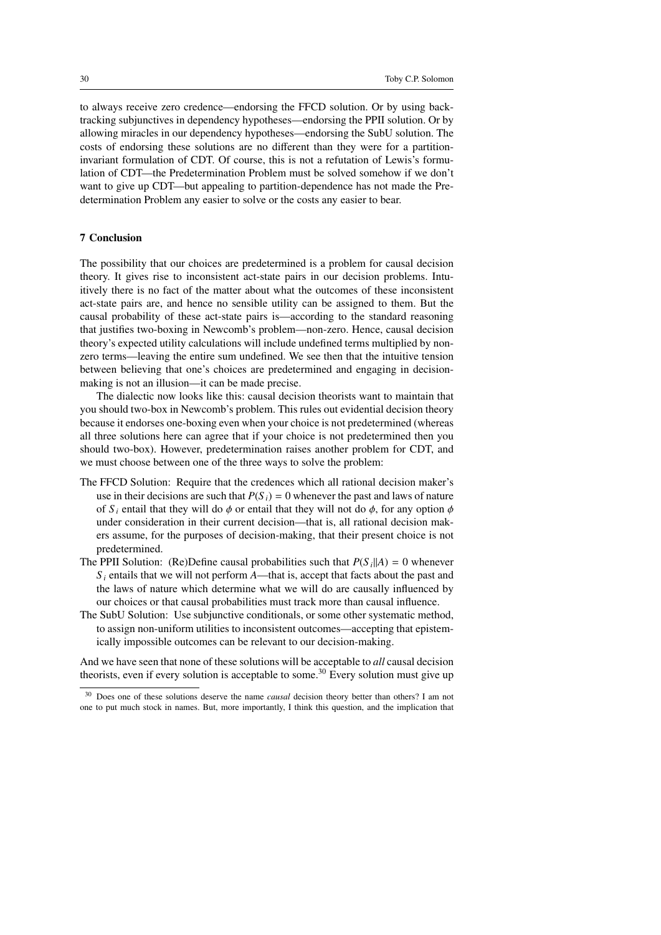to always receive zero credence—endorsing the FFCD solution. Or by using backtracking subjunctives in dependency hypotheses—endorsing the PPII solution. Or by allowing miracles in our dependency hypotheses—endorsing the SubU solution. The costs of endorsing these solutions are no different than they were for a partitioninvariant formulation of CDT. Of course, this is not a refutation of Lewis's formulation of CDT—the Predetermination Problem must be solved somehow if we don't want to give up CDT—but appealing to partition-dependence has not made the Predetermination Problem any easier to solve or the costs any easier to bear.

## 7 Conclusion

The possibility that our choices are predetermined is a problem for causal decision theory. It gives rise to inconsistent act-state pairs in our decision problems. Intuitively there is no fact of the matter about what the outcomes of these inconsistent act-state pairs are, and hence no sensible utility can be assigned to them. But the causal probability of these act-state pairs is—according to the standard reasoning that justifies two-boxing in Newcomb's problem—non-zero. Hence, causal decision theory's expected utility calculations will include undefined terms multiplied by nonzero terms—leaving the entire sum undefined. We see then that the intuitive tension between believing that one's choices are predetermined and engaging in decisionmaking is not an illusion—it can be made precise.

The dialectic now looks like this: causal decision theorists want to maintain that you should two-box in Newcomb's problem. This rules out evidential decision theory because it endorses one-boxing even when your choice is not predetermined (whereas all three solutions here can agree that if your choice is not predetermined then you should two-box). However, predetermination raises another problem for CDT, and we must choose between one of the three ways to solve the problem:

- The FFCD Solution: Require that the credences which all rational decision maker's use in their decisions are such that  $P(S_i) = 0$  whenever the past and laws of nature of  $S_i$  entail that they will do  $\phi$  or entail that they will not do  $\phi$ , for any option  $\phi$ under consideration in their current decision—that is, all rational decision makers assume, for the purposes of decision-making, that their present choice is not predetermined.
- The PPII Solution: (Re)Define causal probabilities such that  $P(S_i||A) = 0$  whenever *S <sup>i</sup>* entails that we will not perform *A*—that is, accept that facts about the past and the laws of nature which determine what we will do are causally influenced by our choices or that causal probabilities must track more than causal influence.
- The SubU Solution: Use subjunctive conditionals, or some other systematic method, to assign non-uniform utilities to inconsistent outcomes—accepting that epistemically impossible outcomes can be relevant to our decision-making.

And we have seen that none of these solutions will be acceptable to *all* causal decision theorists, even if every solution is acceptable to some.<sup>30</sup> Every solution must give up

<sup>30</sup> Does one of these solutions deserve the name *causal* decision theory better than others? I am not one to put much stock in names. But, more importantly, I think this question, and the implication that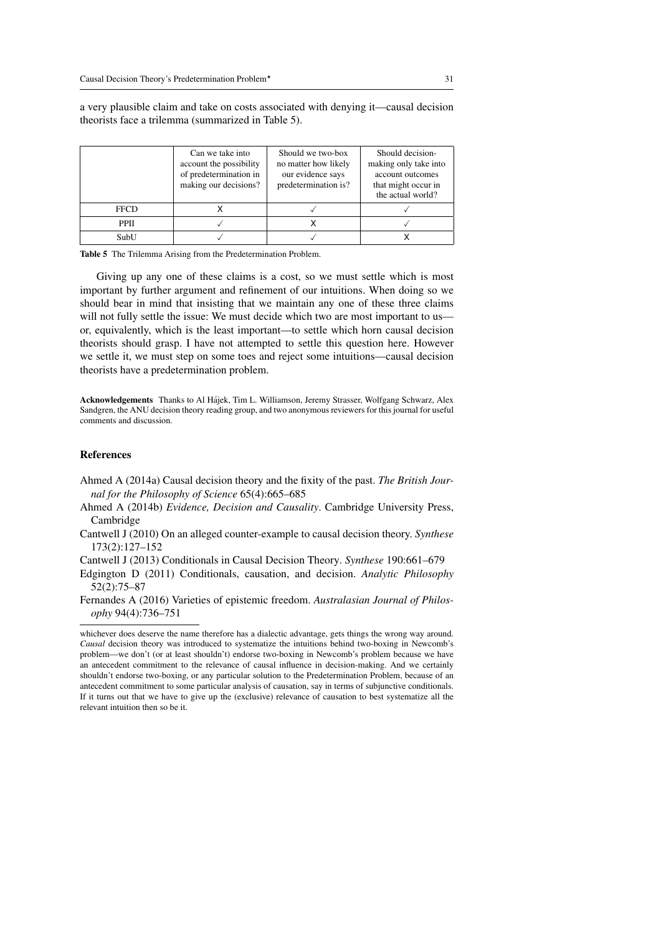a very plausible claim and take on costs associated with denying it—causal decision theorists face a trilemma (summarized in Table 5).

|             | Can we take into<br>account the possibility<br>of predetermination in<br>making our decisions? | Should we two-box<br>no matter how likely<br>our evidence says<br>predetermination is? | Should decision-<br>making only take into<br>account outcomes<br>that might occur in<br>the actual world? |
|-------------|------------------------------------------------------------------------------------------------|----------------------------------------------------------------------------------------|-----------------------------------------------------------------------------------------------------------|
| <b>FFCD</b> |                                                                                                |                                                                                        |                                                                                                           |
| <b>PPII</b> |                                                                                                |                                                                                        |                                                                                                           |
| SubU        |                                                                                                |                                                                                        |                                                                                                           |

Table 5 The Trilemma Arising from the Predetermination Problem.

Giving up any one of these claims is a cost, so we must settle which is most important by further argument and refinement of our intuitions. When doing so we should bear in mind that insisting that we maintain any one of these three claims will not fully settle the issue: We must decide which two are most important to us or, equivalently, which is the least important—to settle which horn causal decision theorists should grasp. I have not attempted to settle this question here. However we settle it, we must step on some toes and reject some intuitions—causal decision theorists have a predetermination problem.

Acknowledgements Thanks to Al Hajek, Tim L. Williamson, Jeremy Strasser, Wolfgang Schwarz, Alex ´ Sandgren, the ANU decision theory reading group, and two anonymous reviewers for this journal for useful comments and discussion.

### References

- Ahmed A (2014a) Causal decision theory and the fixity of the past. *The British Journal for the Philosophy of Science* 65(4):665–685
- Ahmed A (2014b) *Evidence, Decision and Causality*. Cambridge University Press, Cambridge
- Cantwell J (2010) On an alleged counter-example to causal decision theory. *Synthese* 173(2):127–152

Cantwell J (2013) Conditionals in Causal Decision Theory. *Synthese* 190:661–679

- Edgington D (2011) Conditionals, causation, and decision. *Analytic Philosophy* 52(2):75–87
- Fernandes A (2016) Varieties of epistemic freedom. *Australasian Journal of Philosophy* 94(4):736–751

whichever does deserve the name therefore has a dialectic advantage, gets things the wrong way around. *Causal* decision theory was introduced to systematize the intuitions behind two-boxing in Newcomb's problem—we don't (or at least shouldn't) endorse two-boxing in Newcomb's problem because we have an antecedent commitment to the relevance of causal influence in decision-making. And we certainly shouldn't endorse two-boxing, or any particular solution to the Predetermination Problem, because of an antecedent commitment to some particular analysis of causation, say in terms of subjunctive conditionals. If it turns out that we have to give up the (exclusive) relevance of causation to best systematize all the relevant intuition then so be it.